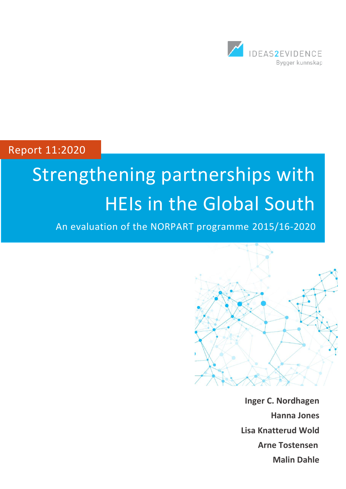

Report 11:2020

# Strengthening partnerships with HEIs in the Global South

An evaluation of the NORPART programme 2015/16-2020



**Inger C. Nordhagen Hanna Jones Lisa Knatterud Wold Arne Tostensen Malin Dahle**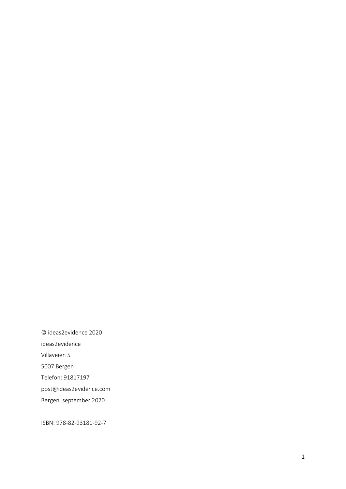© ideas2evidence 2020 ideas2evidence Villaveien 5 5007 Bergen Telefon: 91817197 post@ideas2evidence.com Bergen, september 2020

ISBN: 978-82-93181-92-7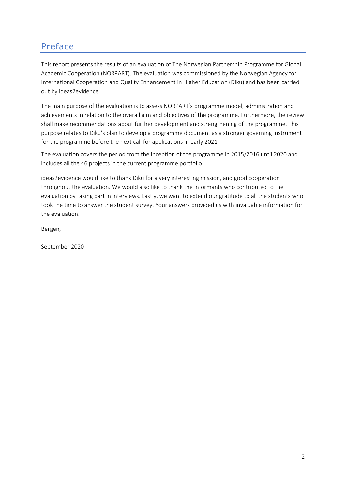## <span id="page-2-0"></span>Preface

This report presents the results of an evaluation of The Norwegian Partnership Programme for Global Academic Cooperation (NORPART). The evaluation was commissioned by the Norwegian Agency for International Cooperation and Quality Enhancement in Higher Education (Diku) and has been carried out by ideas2evidence.

The main purpose of the evaluation is to assess NORPART's programme model, administration and achievements in relation to the overall aim and objectives of the programme. Furthermore, the review shall make recommendations about further development and strengthening of the programme. This purpose relates to Diku's plan to develop a programme document as a stronger governing instrument for the programme before the next call for applications in early 2021.

The evaluation covers the period from the inception of the programme in 2015/2016 until 2020 and includes all the 46 projects in the current programme portfolio.

ideas2evidence would like to thank Diku for a very interesting mission, and good cooperation throughout the evaluation. We would also like to thank the informants who contributed to the evaluation by taking part in interviews. Lastly, we want to extend our gratitude to all the students who took the time to answer the student survey. Your answers provided us with invaluable information for the evaluation.

Bergen,

September 2020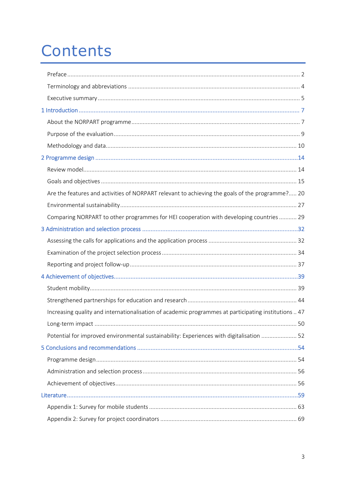## Contents

<span id="page-3-0"></span>

| Are the features and activities of NORPART relevant to achieving the goals of the programme? 20      |  |
|------------------------------------------------------------------------------------------------------|--|
|                                                                                                      |  |
| Comparing NORPART to other programmes for HEI cooperation with developing countries  29              |  |
|                                                                                                      |  |
|                                                                                                      |  |
|                                                                                                      |  |
|                                                                                                      |  |
|                                                                                                      |  |
|                                                                                                      |  |
|                                                                                                      |  |
|                                                                                                      |  |
| Increasing quality and internationalisation of academic programmes at participating institutions  47 |  |
|                                                                                                      |  |
| Potential for improved environmental sustainability: Experiences with digitalisation  52             |  |
|                                                                                                      |  |
|                                                                                                      |  |
|                                                                                                      |  |
|                                                                                                      |  |
|                                                                                                      |  |
|                                                                                                      |  |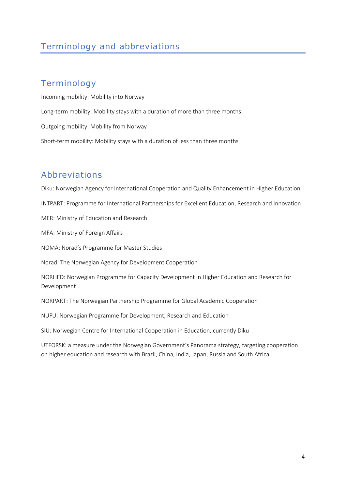## Terminology and abbreviations

## Terminology

Incoming mobility: Mobility into Norway Long-term mobility: Mobility stays with a duration of more than three months Outgoing mobility: Mobility from Norway Short-term mobility: Mobility stays with a duration of less than three months

## Abbreviations

Diku: Norwegian Agency for International Cooperation and Quality Enhancement in Higher Education INTPART: Programme for International Partnerships for Excellent Education, Research and Innovation MER: Ministry of Education and Research MFA: Ministry of Foreign Affairs NOMA: Norad's Programme for Master Studies Norad: The Norwegian Agency for Development Cooperation NORHED: Norwegian Programme for Capacity Development in Higher Education and Research for Development NORPART: The Norwegian Partnership Programme for Global Academic Cooperation NUFU: Norwegian Programme for Development, Research and Education SIU: Norwegian Centre for International Cooperation in Education, currently Diku

UTFORSK: a measure under the Norwegian Government's Panorama strategy, targeting cooperation on higher education and research with Brazil, China, India, Japan, Russia and South Africa.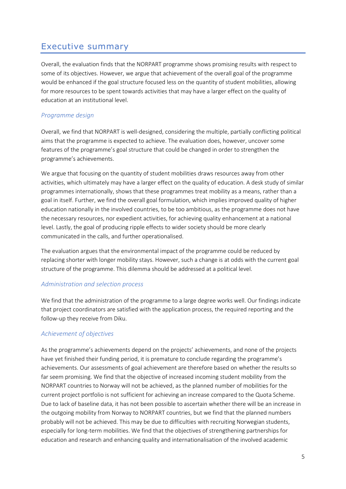## <span id="page-5-0"></span>Executive summary

Overall, the evaluation finds that the NORPART programme shows promising results with respect to some of its objectives. However, we argue that achievement of the overall goal of the programme would be enhanced if the goal structure focused less on the quantity of student mobilities, allowing for more resources to be spent towards activities that may have a larger effect on the quality of education at an institutional level.

#### *Programme design*

Overall, we find that NORPART is well-designed, considering the multiple, partially conflicting political aims that the programme is expected to achieve. The evaluation does, however, uncover some features of the programme's goal structure that could be changed in order to strengthen the programme's achievements.

We argue that focusing on the quantity of student mobilities draws resources away from other activities, which ultimately may have a larger effect on the quality of education. A desk study of similar programmes internationally, shows that these programmes treat mobility as a means, rather than a goal in itself. Further, we find the overall goal formulation, which implies improved quality of higher education nationally in the involved countries, to be too ambitious, as the programme does not have the necessary resources, nor expedient activities, for achieving quality enhancement at a national level. Lastly, the goal of producing ripple effects to wider society should be more clearly communicated in the calls, and further operationalised.

The evaluation argues that the environmental impact of the programme could be reduced by replacing shorter with longer mobility stays. However, such a change is at odds with the current goal structure of the programme. This dilemma should be addressed at a political level.

#### *Administration and selection process*

We find that the administration of the programme to a large degree works well. Our findings indicate that project coordinators are satisfied with the application process, the required reporting and the follow-up they receive from Diku.

#### *Achievement of objectives*

As the programme's achievements depend on the projects' achievements, and none of the projects have yet finished their funding period, it is premature to conclude regarding the programme's achievements. Our assessments of goal achievement are therefore based on whether the results so far seem promising. We find that the objective of increased incoming student mobility from the NORPART countries to Norway will not be achieved, as the planned number of mobilities for the current project portfolio is not sufficient for achieving an increase compared to the Quota Scheme. Due to lack of baseline data, it has not been possible to ascertain whether there will be an increase in the outgoing mobility from Norway to NORPART countries, but we find that the planned numbers probably will not be achieved. This may be due to difficulties with recruiting Norwegian students, especially for long-term mobilities. We find that the objectives of strengthening partnerships for education and research and enhancing quality and internationalisation of the involved academic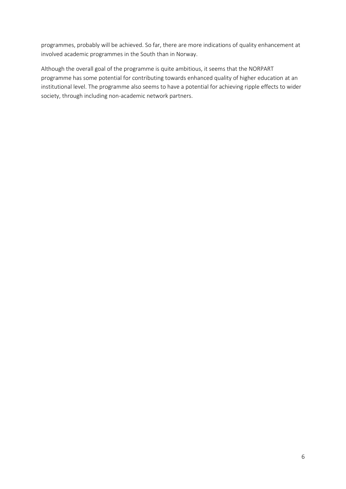programmes, probably will be achieved. So far, there are more indications of quality enhancement at involved academic programmes in the South than in Norway.

Although the overall goal of the programme is quite ambitious, it seems that the NORPART programme has some potential for contributing towards enhanced quality of higher education at an institutional level. The programme also seems to have a potential for achieving ripple effects to wider society, through including non-academic network partners.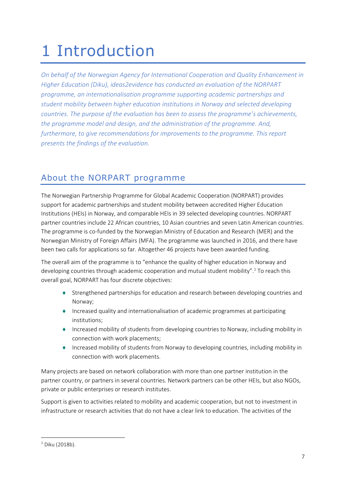## <span id="page-7-0"></span>1 Introduction

*On behalf of the Norwegian Agency for International Cooperation and Quality Enhancement in Higher Education (Diku), ideas2evidence has conducted an evaluation of the NORPART programme, an internationalisation programme supporting academic partnerships and student mobility between higher education institutions in Norway and selected developing countries. The purpose of the evaluation has been to assess the programme's achievements, the programme model and design, and the administration of the programme. And, furthermore, to give recommendations for improvements to the programme. This report presents the findings of the evaluation.*

## <span id="page-7-1"></span>About the NORPART programme

The Norwegian Partnership Programme for Global Academic Cooperation (NORPART) provides support for academic partnerships and student mobility between accredited Higher Education Institutions (HEIs) in Norway, and comparable HEIs in 39 selected developing countries. NORPART partner countries include 22 African countries, 10 Asian countries and seven Latin American countries. The programme is co-funded by the Norwegian Ministry of Education and Research (MER) and the Norwegian Ministry of Foreign Affairs (MFA). The programme was launched in 2016, and there have been two calls for applications so far. Altogether 46 projects have been awarded funding.

The overall aim of the programme is to "enhance the quality of higher education in Norway and developing countries through academic cooperation and mutual student mobility". <sup>1</sup> To reach this overall goal, NORPART has four discrete objectives:

- Strengthened partnerships for education and research between developing countries and Norway;
- Increased quality and internationalisation of academic programmes at participating institutions;
- Increased mobility of students from developing countries to Norway, including mobility in connection with work placements;
- Increased mobility of students from Norway to developing countries, including mobility in connection with work placements.

Many projects are based on network collaboration with more than one partner institution in the partner country, or partners in several countries. Network partners can be other HEIs, but also NGOs, private or public enterprises or research institutes.

Support is given to activities related to mobility and academic cooperation, but not to investment in infrastructure or research activities that do not have a clear link to education. The activities of the

 $1$  Diku (2018b).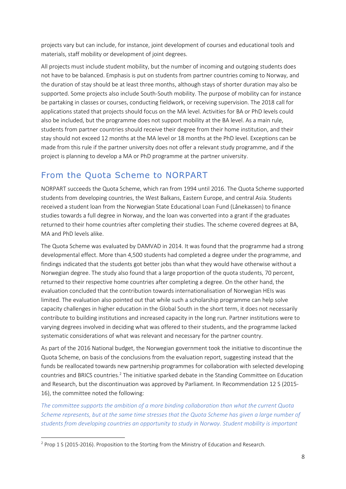projects vary but can include, for instance, joint development of courses and educational tools and materials, staff mobility or development of joint degrees.

All projects must include student mobility, but the number of incoming and outgoing students does not have to be balanced. Emphasis is put on students from partner countries coming to Norway, and the duration of stay should be at least three months, although stays of shorter duration may also be supported. Some projects also include South-South mobility. The purpose of mobility can for instance be partaking in classes or courses, conducting fieldwork, or receiving supervision. The 2018 call for applications stated that projects should focus on the MA level. Activities for BA or PhD levels could also be included, but the programme does not support mobility at the BA level. As a main rule, students from partner countries should receive their degree from their home institution, and their stay should not exceed 12 months at the MA level or 18 months at the PhD level. Exceptions can be made from this rule if the partner university does not offer a relevant study programme, and if the project is planning to develop a MA or PhD programme at the partner university.

## From the Quota Scheme to NORPART

NORPART succeeds the Quota Scheme, which ran from 1994 until 2016. The Quota Scheme supported students from developing countries, the West Balkans, Eastern Europe, and central Asia. Students received a student loan from the Norwegian State Educational Loan Fund (Lånekassen) to finance studies towards a full degree in Norway, and the loan was converted into a grant if the graduates returned to their home countries after completing their studies. The scheme covered degrees at BA, MA and PhD levels alike.

The Quota Scheme was evaluated by DAMVAD in 2014. It was found that the programme had a strong developmental effect. More than 4,500 students had completed a degree under the programme, and findings indicated that the students got better jobs than what they would have otherwise without a Norwegian degree. The study also found that a large proportion of the quota students, 70 percent, returned to their respective home countries after completing a degree. On the other hand, the evaluation concluded that the contribution towards internationalisation of Norwegian HEIs was limited. The evaluation also pointed out that while such a scholarship programme can help solve capacity challenges in higher education in the Global South in the short term, it does not necessarily contribute to building institutions and increased capacity in the long run. Partner institutions were to varying degrees involved in deciding what was offered to their students, and the programme lacked systematic considerations of what was relevant and necessary for the partner country.

As part of the 2016 National budget, the Norwegian government took the initiative to discontinue the Quota Scheme, on basis of the conclusions from the evaluation report, suggesting instead that the funds be reallocated towards new partnership programmes for collaboration with selected developing countries and BRICS countries.<sup>2</sup> The initiative sparked debate in the Standing Committee on Education and Research, but the discontinuation was approved by Parliament. In Recommendation 12 S (2015- 16), the committee noted the following:

*The committee supports the ambition of a more binding collaboration than what the current Quota Scheme represents, but at the same time stresses that the Quota Scheme has given a large number of students from developing countries an opportunity to study in Norway. Student mobility is important* 

<sup>&</sup>lt;sup>2</sup> Prop 1 S (2015-2016). Proposition to the Storting from the Ministry of Education and Research.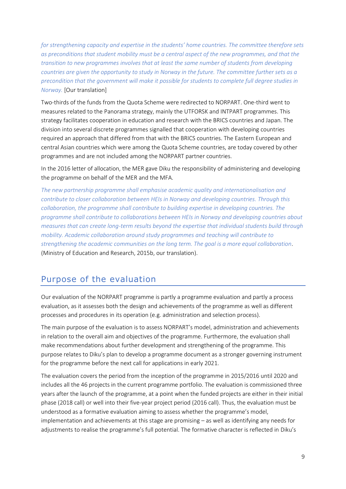*for strengthening capacity and expertise in the students' home countries. The committee therefore sets as preconditions that student mobility must be a central aspect of the new programmes, and that the transition to new programmes involves that at least the same number of students from developing countries are given the opportunity to study in Norway in the future. The committee further sets as a precondition that the government will make it possible for students to complete full degree studies in Norway.* [Our translation]

Two-thirds of the funds from the Quota Scheme were redirected to NORPART. One-third went to measures related to the Panorama strategy, mainly the UTFORSK and INTPART programmes. This strategy facilitates cooperation in education and research with the BRICS countries and Japan. The division into several discrete programmes signalled that cooperation with developing countries required an approach that differed from that with the BRICS countries. The Eastern European and central Asian countries which were among the Quota Scheme countries, are today covered by other programmes and are not included among the NORPART partner countries.

In the 2016 letter of allocation, the MER gave Diku the responsibility of administering and developing the programme on behalf of the MER and the MFA.

*The new partnership programme shall emphasise academic quality and internationalisation and contribute to closer collaboration between HEIs in Norway and developing countries. Through this collaboration, the programme shall contribute to building expertise in developing countries. The programme shall contribute to collaborations between HEIs in Norway and developing countries about measures that can create long-term results beyond the expertise that individual students build through mobility. Academic collaboration around study programmes and teaching will contribute to strengthening the academic communities on the long term. The goal is a more equal collaboration*. (Ministry of Education and Research, 2015b, our translation).

### <span id="page-9-0"></span>Purpose of the evaluation

Our evaluation of the NORPART programme is partly a programme evaluation and partly a process evaluation, as it assesses both the design and achievements of the programme as well as different processes and procedures in its operation (e.g. administration and selection process).

The main purpose of the evaluation is to assess NORPART's model, administration and achievements in relation to the overall aim and objectives of the programme. Furthermore, the evaluation shall make recommendations about further development and strengthening of the programme. This purpose relates to Diku's plan to develop a programme document as a stronger governing instrument for the programme before the next call for applications in early 2021.

The evaluation covers the period from the inception of the programme in 2015/2016 until 2020 and includes all the 46 projects in the current programme portfolio. The evaluation is commissioned three years after the launch of the programme, at a point when the funded projects are either in their initial phase (2018 call) or well into their five-year project period (2016 call). Thus, the evaluation must be understood as a formative evaluation aiming to assess whether the programme's model, implementation and achievements at this stage are promising – as well as identifying any needs for adjustments to realise the programme's full potential. The formative character is reflected in Diku's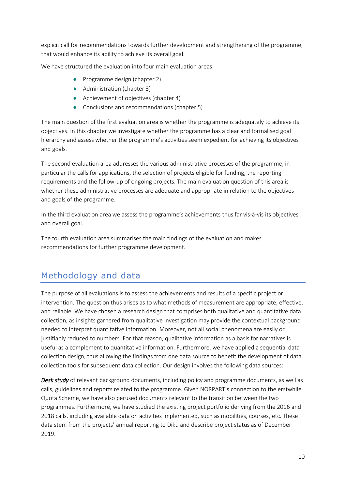explicit call for recommendations towards further development and strengthening of the programme, that would enhance its ability to achieve its overall goal.

We have structured the evaluation into four main evaluation areas:

- ◆ Programme design (chapter 2)
- ◆ Administration (chapter 3)
- ◆ Achievement of objectives (chapter 4)
- ◆ Conclusions and recommendations (chapter 5)

The main question of the first evaluation area is whether the programme is adequately to achieve its objectives. In this chapter we investigate whether the programme has a clear and formalised goal hierarchy and assess whether the programme's activities seem expedient for achieving its objectives and goals.

The second evaluation area addresses the various administrative processes of the programme, in particular the calls for applications, the selection of projects eligible for funding, the reporting requirements and the follow-up of ongoing projects. The main evaluation question of this area is whether these administrative processes are adequate and appropriate in relation to the objectives and goals of the programme.

In the third evaluation area we assess the programme's achievements thus far vis-à-vis its objectives and overall goal.

The fourth evaluation area summarises the main findings of the evaluation and makes recommendations for further programme development.

## <span id="page-10-0"></span>Methodology and data

The purpose of all evaluations is to assess the achievements and results of a specific project or intervention. The question thus arises as to what methods of measurement are appropriate, effective, and reliable. We have chosen a research design that comprises both qualitative and quantitative data collection, as insights garnered from qualitative investigation may provide the contextual background needed to interpret quantitative information. Moreover, not all social phenomena are easily or justifiably reduced to numbers. For that reason, qualitative information as a basis for narratives is useful as a complement to quantitative information. Furthermore, we have applied a sequential data collection design, thus allowing the findings from one data source to benefit the development of data collection tools for subsequent data collection. Our design involves the following data sources:

*Desk study* of relevant background documents, including policy and programme documents, as well as calls, guidelines and reports related to the programme. Given NORPART's connection to the erstwhile Quota Scheme, we have also perused documents relevant to the transition between the two programmes. Furthermore, we have studied the existing project portfolio deriving from the 2016 and 2018 calls, including available data on activities implemented, such as mobilities, courses, etc. These data stem from the projects' annual reporting to Diku and describe project status as of December 2019.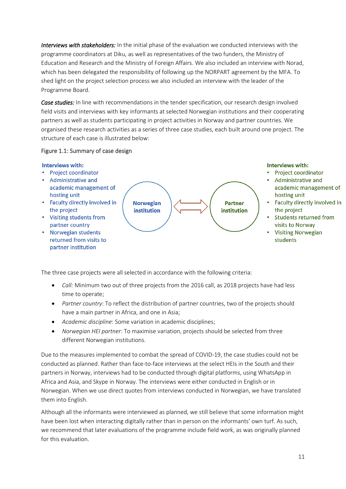*Interviews with stakeholders:* In the initial phase of the evaluation we conducted interviews with the programme coordinators at Diku, as well as representatives of the two funders, the Ministry of Education and Research and the Ministry of Foreign Affairs. We also included an interview with Norad, which has been delegated the responsibility of following up the NORPART agreement by the MFA. To shed light on the project selection process we also included an interview with the leader of the Programme Board.

*Case studies:* In line with recommendations in the tender specification, our research design involved field visits and interviews with key informants at selected Norwegian institutions and their cooperating partners as well as students participating in project activities in Norway and partner countries. We organised these research activities as a series of three case studies, each built around one project. The structure of each case is illustrated below:

#### Figure 1.1: Summary of case design



The three case projects were all selected in accordance with the following criteria:

- *Call:* Minimum two out of three projects from the 2016 call, as 2018 projects have had less time to operate;
- *Partner country*: To reflect the distribution of partner countries, two of the projects should have a main partner in Africa, and one in Asia;
- *Academic discipline*: Some variation in academic disciplines;
- *Norwegian HEI partner*: To maximise variation, projects should be selected from three different Norwegian institutions.

Due to the measures implemented to combat the spread of COVID-19, the case studies could not be conducted as planned. Rather than face-to-face interviews at the select HEIs in the South and their partners in Norway, interviews had to be conducted through digital platforms, using WhatsApp in Africa and Asia, and Skype in Norway. The interviews were either conducted in English or in Norwegian. When we use direct quotes from interviews conducted in Norwegian, we have translated them into English.

Although all the informants were interviewed as planned, we still believe that some information might have been lost when interacting digitally rather than in person on the informants' own turf. As such, we recommend that later evaluations of the programme include field work, as was originally planned for this evaluation.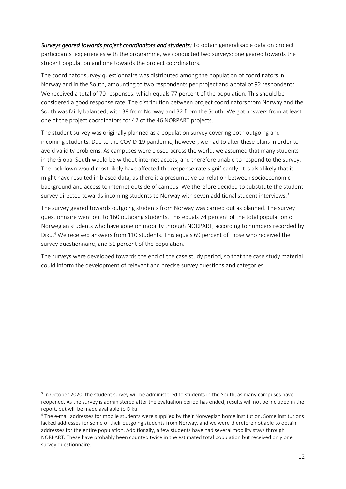*Surveys geared towards project coordinators and students:* To obtain generalisable data on project participants' experiences with the programme, we conducted two surveys: one geared towards the student population and one towards the project coordinators.

The coordinator survey questionnaire was distributed among the population of coordinators in Norway and in the South, amounting to two respondents per project and a total of 92 respondents. We received a total of 70 responses, which equals 77 percent of the population. This should be considered a good response rate. The distribution between project coordinators from Norway and the South was fairly balanced, with 38 from Norway and 32 from the South. We got answers from at least one of the project coordinators for 42 of the 46 NORPART projects.

The student survey was originally planned as a population survey covering both outgoing and incoming students. Due to the COVID-19 pandemic, however, we had to alter these plans in order to avoid validity problems. As campuses were closed across the world, we assumed that many students in the Global South would be without internet access, and therefore unable to respond to the survey. The lockdown would most likely have affected the response rate significantly. It is also likely that it might have resulted in biased data, as there is a presumptive correlation between socioeconomic background and access to internet outside of campus. We therefore decided to substitute the student survey directed towards incoming students to Norway with seven additional student interviews.<sup>3</sup>

The survey geared towards outgoing students from Norway was carried out as planned. The survey questionnaire went out to 160 outgoing students. This equals 74 percent of the total population of Norwegian students who have gone on mobility through NORPART, according to numbers recorded by Diku.<sup>4</sup> We received answers from 110 students. This equals 69 percent of those who received the survey questionnaire, and 51 percent of the population.

The surveys were developed towards the end of the case study period, so that the case study material could inform the development of relevant and precise survey questions and categories.

<sup>&</sup>lt;sup>3</sup> In October 2020, the student survey will be administered to students in the South, as many campuses have reopened. As the survey is administered after the evaluation period has ended, results will not be included in the report, but will be made available to Diku.

<sup>4</sup> The e-mail addresses for mobile students were supplied by their Norwegian home institution. Some institutions lacked addresses for some of their outgoing students from Norway, and we were therefore not able to obtain addresses for the entire population. Additionally, a few students have had several mobility stays through NORPART. These have probably been counted twice in the estimated total population but received only one survey questionnaire.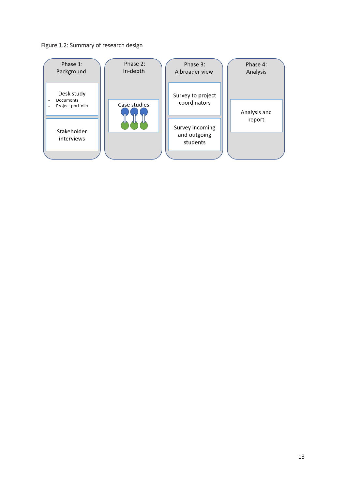#### Figure 1.2: Summary of research design

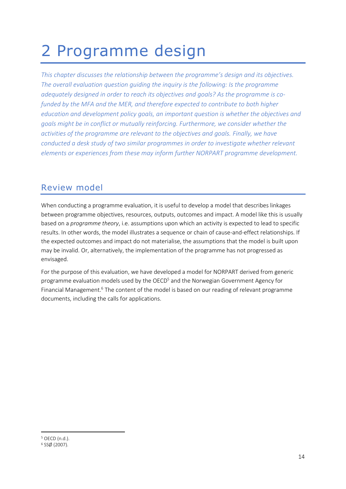## <span id="page-14-0"></span>2 Programme design

*This chapter discusses the relationship between the programme's design and its objectives. The overall evaluation question guiding the inquiry is the following: Is the programme adequately designed in order to reach its objectives and goals? As the programme is cofunded by the MFA and the MER, and therefore expected to contribute to both higher education and development policy goals, an important question is whether the objectives and goals might be in conflict or mutually reinforcing. Furthermore, we consider whether the activities of the programme are relevant to the objectives and goals. Finally, we have conducted a desk study of two similar programmes in order to investigate whether relevant elements or experiences from these may inform further NORPART programme development.* 

## <span id="page-14-1"></span>Review model

When conducting a programme evaluation, it is useful to develop a model that describes linkages between programme objectives, resources, outputs, outcomes and impact. A model like this is usually based on a *programme theory*, i.e. assumptions upon which an activity is expected to lead to specific results. In other words, the model illustrates a sequence or chain of cause-and-effect relationships. If the expected outcomes and impact do not materialise, the assumptions that the model is built upon may be invalid. Or, alternatively, the implementation of the programme has not progressed as envisaged.

For the purpose of this evaluation, we have developed a model for NORPART derived from generic programme evaluation models used by the OECD<sup>5</sup> and the Norwegian Government Agency for Financial Management.<sup>6</sup> The content of the model is based on our reading of relevant programme documents, including the calls for applications.

<sup>5</sup> OECD (n.d.).

<sup>6</sup> SSØ (2007).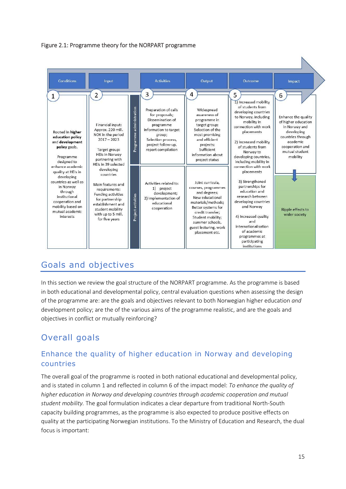



## <span id="page-15-0"></span>Goals and objectives

In this section we review the goal structure of the NORPART programme. As the programme is based in both educational and developmental policy, central evaluation questions when assessing the design of the programme are: are the goals and objectives relevant to both Norwegian higher education *and* development policy; are the of the various aims of the programme realistic, and are the goals and objectives in conflict or mutually reinforcing?

## Overall goals

#### Enhance the quality of higher education in Norway and developing countries

The overall goal of the programme is rooted in both national educational and developmental policy, and is stated in column 1 and reflected in column 6 of the impact model: *To enhance the quality of higher education in Norway and developing countries through academic cooperation and mutual student mobility.* The goal formulation indicates a clear departure from traditional North-South capacity building programmes, as the programme is also expected to produce positive effects on quality at the participating Norwegian institutions. To the Ministry of Education and Research, the dual focus is important: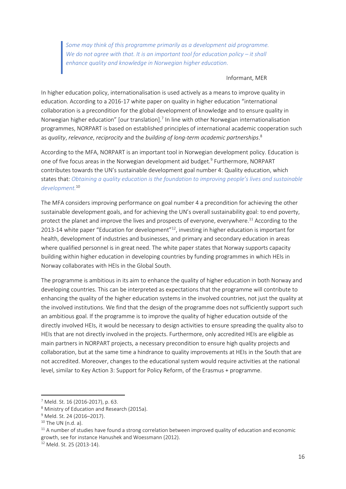*Some may think of this programme primarily as a development aid programme. We do not agree with that. It is an important tool for education policy – it shall enhance quality and knowledge in Norwegian higher education.*

#### Informant, MER

In higher education policy, internationalisation is used actively as a means to improve quality in education. According to a 2016-17 white paper on quality in higher education "international collaboration is a precondition for the global development of knowledge and to ensure quality in Norwegian higher education" [our translation]. $<sup>7</sup>$  In line with other Norwegian internationalisation</sup> programmes, NORPART is based on established principles of international academic cooperation such as *quality*, *relevance*, *reciprocity* and the *building of long-term academic partnerships*. 8

According to the MFA, NORPART is an important tool in Norwegian development policy. Education is one of five focus areas in the Norwegian development aid budget.<sup>9</sup> Furthermore, NORPART contributes towards the UN's sustainable development goal number 4: Quality education, which states that: *Obtaining a quality education is the foundation to improving people's lives and sustainable development.*<sup>10</sup>

The MFA considers improving performance on goal number 4 a precondition for achieving the other sustainable development goals, and for achieving the UN's overall sustainability goal: to end poverty, protect the planet and improve the lives and prospects of everyone, everywhere.<sup>11</sup> According to the 2013-14 white paper "Education for development"<sup>12</sup>, investing in higher education is important for health, development of industries and businesses, and primary and secondary education in areas where qualified personnel is in great need. The white paper states that Norway supports capacity building within higher education in developing countries by funding programmes in which HEIs in Norway collaborates with HEIs in the Global South.

The programme is ambitious in its aim to enhance the quality of higher education in both Norway and developing countries. This can be interpreted as expectations that the programme will contribute to enhancing the quality of the higher education systems in the involved countries, not just the quality at the involved institutions. We find that the design of the programme does not sufficiently support such an ambitious goal. If the programme is to improve the quality of higher education outside of the directly involved HEIs, it would be necessary to design activities to ensure spreading the quality also to HEIs that are not directly involved in the projects. Furthermore, only accredited HEIs are eligible as main partners in NORPART projects, a necessary precondition to ensure high quality projects and collaboration, but at the same time a hindrance to quality improvements at HEIs in the South that are not accredited. Moreover, changes to the educational system would require activities at the national level, similar to Key Action 3: Support for Policy Reform, of the Erasmus + programme.

<sup>7</sup> Meld. St. 16 (2016-2017), p. 63.

<sup>8</sup> Ministry of Education and Research (2015a).

<sup>9</sup> Meld. St. 24 (2016–2017).

 $10$  The UN (n.d. a).

 $11$  A number of studies have found a strong correlation between improved quality of education and economic growth, see for instance Hanushek and Woessmann (2012).

<sup>12</sup> Meld. St. 25 (2013-14).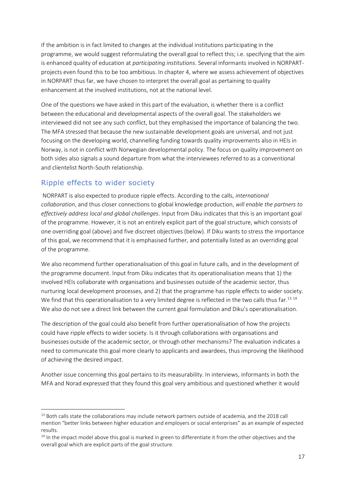If the ambition is in fact limited to changes at the individual institutions participating in the programme, we would suggest reformulating the overall goal to reflect this; i.e. specifying that the aim is enhanced quality of education at *participating institutions*. Several informants involved in NORPARTprojects even found this to be too ambitious. In chapter 4, where we assess achievement of objectives in NORPART thus far, we have chosen to interpret the overall goal as pertaining to quality enhancement at the involved institutions, not at the national level.

One of the questions we have asked in this part of the evaluation, is whether there is a conflict between the educational and developmental aspects of the overall goal. The stakeholders we interviewed did not see any such conflict, but they emphasised the importance of balancing the two. The MFA stressed that because the new sustainable development goals are universal, and not just focusing on the developing world, channelling funding towards quality improvements also in HEIs in Norway, is not in conflict with Norwegian developmental policy. The focus on quality improvement on both sides also signals a sound departure from what the interviewees referred to as a conventional and clientelist North-South relationship.

#### Ripple effects to wider society

NORPART is also expected to produce ripple effects. According to the calls, *international collaboration*, and thus closer connections to global knowledge production, *will enable the partners to effectively address local and global challenges*. Input from Diku indicates that this is an important goal of the programme. However, it is not an entirely explicit part of the goal structure, which consists of one overriding goal (above) and five discreet objectives (below). If Diku wants to stress the importance of this goal, we recommend that it is emphasised further, and potentially listed as an overriding goal of the programme.

We also recommend further operationalisation of this goal in future calls, and in the development of the programme document. Input from Diku indicates that its operationalisation means that 1) the involved HEIs collaborate with organisations and businesses outside of the academic sector, thus nurturing local development processes, and 2) that the programme has ripple effects to wider society. We find that this operationalisation to a very limited degree is reflected in the two calls thus far.<sup>13 14</sup> We also do not see a direct link between the current goal formulation and Diku's operationalisation.

The description of the goal could also benefit from further operationalisation of how the projects could have ripple effects to wider society. Is it through collaborations with organisations and businesses outside of the academic sector, or through other mechanisms? The evaluation indicates a need to communicate this goal more clearly to applicants and awardees, thus improving the likelihood of achieving the desired impact.

Another issue concerning this goal pertains to its measurability. In interviews, informants in both the MFA and Norad expressed that they found this goal very ambitious and questioned whether it would

<sup>&</sup>lt;sup>13</sup> Both calls state the collaborations may include network partners outside of academia, and the 2018 call mention "better links between higher education and employers or social enterprises" as an example of expected results.

 $14$  In the impact model above this goal is marked in green to differentiate it from the other objectives and the overall goal which are explicit parts of the goal structure.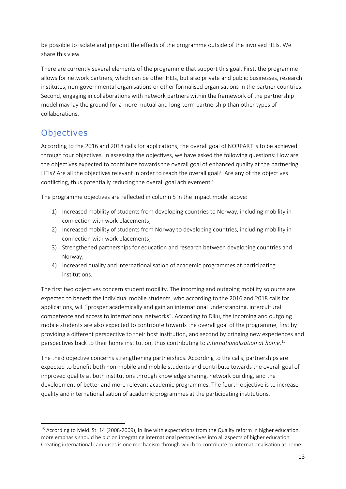be possible to isolate and pinpoint the effects of the programme outside of the involved HEIs. We share this view.

There are currently several elements of the programme that support this goal. First, the programme allows for network partners, which can be other HEIs, but also private and public businesses, research institutes, non-governmental organisations or other formalised organisations in the partner countries. Second, engaging in collaborations with network partners within the framework of the partnership model may lay the ground for a more mutual and long-term partnership than other types of collaborations.

## **Objectives**

According to the 2016 and 2018 calls for applications, the overall goal of NORPART is to be achieved through four objectives. In assessing the objectives, we have asked the following questions: How are the objectives expected to contribute towards the overall goal of enhanced quality at the partnering HEIs? Are all the objectives relevant in order to reach the overall goal? Are any of the objectives conflicting, thus potentially reducing the overall goal achievement?

The programme objectives are reflected in column 5 in the impact model above:

- 1) Increased mobility of students from developing countries to Norway, including mobility in connection with work placements;
- 2) Increased mobility of students from Norway to developing countries, including mobility in connection with work placements;
- 3) Strengthened partnerships for education and research between developing countries and Norway;
- 4) Increased quality and internationalisation of academic programmes at participating institutions.

The first two objectives concern student mobility. The incoming and outgoing mobility sojourns are expected to benefit the individual mobile students, who according to the 2016 and 2018 calls for applications, will "prosper academically and gain an international understanding, intercultural competence and access to international networks". According to Diku, the incoming and outgoing mobile students are also expected to contribute towards the overall goal of the programme, first by providing a different perspective to their host institution, and second by bringing new experiences and perspectives back to their home institution, thus contributing to *internationalisation at home.* 15

The third objective concerns strengthening partnerships. According to the calls, partnerships are expected to benefit both non-mobile and mobile students and contribute towards the overall goal of improved quality at both institutions through knowledge sharing, network building, and the development of better and more relevant academic programmes. The fourth objective is to increase quality and internationalisation of academic programmes at the participating institutions.

<sup>&</sup>lt;sup>15</sup> According to Meld. St. 14 (2008-2009), in line with expectations from the Quality reform in higher education, more emphasis should be put on integrating international perspectives into all aspects of higher education. Creating international campuses is one mechanism through which to contribute to internationalisation at home.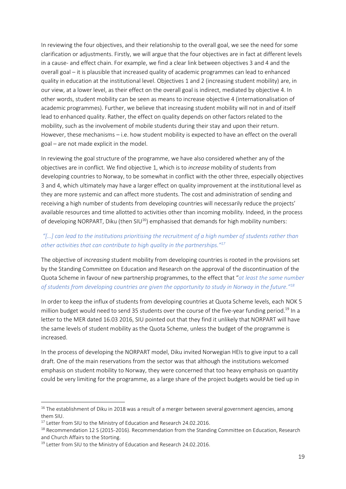In reviewing the four objectives, and their relationship to the overall goal, we see the need for some clarification or adjustments. Firstly, we will argue that the four objectives are in fact at different levels in a cause- and effect chain. For example, we find a clear link between objectives 3 and 4 and the overall goal – it is plausible that increased quality of academic programmes can lead to enhanced quality in education at the institutional level. Objectives 1 and 2 (increasing student mobility) are, in our view, at a lower level, as their effect on the overall goal is indirect, mediated by objective 4. In other words, student mobility can be seen as means to increase objective 4 (internationalisation of academic programmes). Further, we believe that increasing student mobility will not in and of itself lead to enhanced quality. Rather, the effect on quality depends on other factors related to the mobility, such as the involvement of mobile students during their stay and upon their return. However, these mechanisms – i.e. how student mobility is expected to have an effect on the overall goal – are not made explicit in the model.

In reviewing the goal structure of the programme, we have also considered whether any of the objectives are in conflict. We find objective 1, which is to *increase* mobility of students from developing countries to Norway, to be somewhat in conflict with the other three, especially objectives 3 and 4, which ultimately may have a larger effect on quality improvement at the institutional level as they are more systemic and can affect more students. The cost and administration of sending and receiving a high number of students from developing countries will necessarily reduce the projects' available resources and time allotted to activities other than incoming mobility. Indeed, in the process of developing NORPART, Diku (then  $SU^{16}$ ) emphasised that demands for high mobility numbers:

#### *"[…] can lead to the institutions prioritising the recruitment of a high number of students rather than other activities that can contribute to high quality in the partnerships."<sup>17</sup>*

The objective of *increasing* student mobility from developing countries is rooted in the provisions set by the Standing Committee on Education and Research on the approval of the discontinuation of the Quota Scheme in favour of new partnership programmes, to the effect that "*at least the same number of students from developing countries are given the opportunity to study in Norway in the future."<sup>18</sup>*

In order to keep the influx of students from developing countries at Quota Scheme levels, each NOK 5 million budget would need to send 35 students over the course of the five-year funding period.<sup>19</sup> In a letter to the MER dated 16.03 2016, SIU pointed out that they find it unlikely that NORPART will have the same levels of student mobility as the Quota Scheme, unless the budget of the programme is increased.

In the process of developing the NORPART model, Diku invited Norwegian HEIs to give input to a call draft. One of the main reservations from the sector was that although the institutions welcomed emphasis on student mobility to Norway, they were concerned that too heavy emphasis on quantity could be very limiting for the programme, as a large share of the project budgets would be tied up in

<sup>&</sup>lt;sup>16</sup> The establishment of Diku in 2018 was a result of a merger between several government agencies, among them SIU.

<sup>&</sup>lt;sup>17</sup> Letter from SIU to the Ministry of Education and Research 24.02.2016.

<sup>&</sup>lt;sup>18</sup> Recommendation 12 S (2015-2016). Recommendation from the Standing Committee on Education, Research and Church Affairs to the Storting.

<sup>&</sup>lt;sup>19</sup> Letter from SIU to the Ministry of Education and Research 24.02.2016.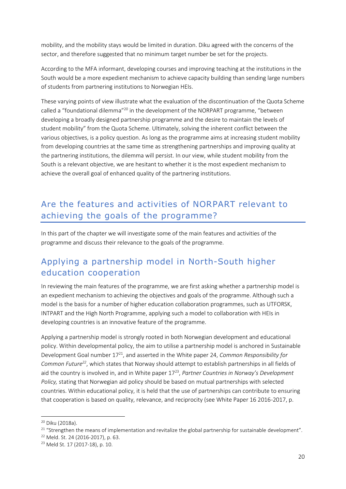mobility, and the mobility stays would be limited in duration. Diku agreed with the concerns of the sector, and therefore suggested that no minimum target number be set for the projects.

According to the MFA informant, developing courses and improving teaching at the institutions in the South would be a more expedient mechanism to achieve capacity building than sending large numbers of students from partnering institutions to Norwegian HEIs.

These varying points of view illustrate what the evaluation of the discontinuation of the Quota Scheme called a "foundational dilemma"<sup>20</sup> in the development of the NORPART programme, "between developing a broadly designed partnership programme and the desire to maintain the levels of student mobility" from the Quota Scheme. Ultimately, solving the inherent conflict between the various objectives, is a policy question. As long as the programme aims at increasing student mobility from developing countries at the same time as strengthening partnerships and improving quality at the partnering institutions, the dilemma will persist. In our view, while student mobility from the South is a relevant objective, we are hesitant to whether it is the most expedient mechanism to achieve the overall goal of enhanced quality of the partnering institutions.

## <span id="page-20-0"></span>Are the features and activities of NORPART relevant to achieving the goals of the programme?

In this part of the chapter we will investigate some of the main features and activities of the programme and discuss their relevance to the goals of the programme.

## Applying a partnership model in North-South higher education cooperation

In reviewing the main features of the programme, we are first asking whether a partnership model is an expedient mechanism to achieving the objectives and goals of the programme. Although such a model is the basis for a number of higher education collaboration programmes, such as UTFORSK, INTPART and the High North Programme, applying such a model to collaboration with HEIs in developing countries is an innovative feature of the programme.

Applying a partnership model is strongly rooted in both Norwegian development and educational policy. Within developmental policy, the aim to utilise a partnership model is anchored in Sustainable Development Goal number 17<sup>21</sup>, and asserted in the White paper 24, *Common Responsibility for Common Future<sup>22</sup>*, which states that Norway should attempt to establish partnerships in all fields of aid the country is involved in, and in White paper 17<sup>23</sup>, Partner Countries in Norway's Development *Policy,* stating that Norwegian aid policy should be based on mutual partnerships with selected countries. Within educational policy, it is held that the use of partnerships can contribute to ensuring that cooperation is based on quality, relevance, and reciprocity (see White Paper 16 2016-2017, p.

<sup>20</sup> Diku (2018a).

<sup>&</sup>lt;sup>21</sup> "Strengthen the means of implementation and revitalize the global partnership for sustainable development".

<sup>22</sup> Meld. St. 24 (2016-2017), p. 63.

<sup>23</sup> Meld St. 17 (2017-18), p. 10.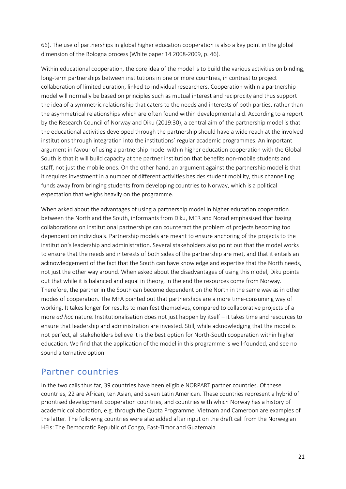66). The use of partnerships in global higher education cooperation is also a key point in the global dimension of the Bologna process (White paper 14 2008-2009, p. 46).

Within educational cooperation, the core idea of the model is to build the various activities on binding, long-term partnerships between institutions in one or more countries, in contrast to project collaboration of limited duration, linked to individual researchers. Cooperation within a partnership model will normally be based on principles such as mutual interest and reciprocity and thus support the idea of a symmetric relationship that caters to the needs and interests of both parties, rather than the asymmetrical relationships which are often found within developmental aid. According to a report by the Research Council of Norway and Diku (2019:30), a central aim of the partnership model is that the educational activities developed through the partnership should have a wide reach at the involved institutions through integration into the institutions' regular academic programmes. An important argument in favour of using a partnership model within higher education cooperation with the Global South is that it will build capacity at the partner institution that benefits non-mobile students and staff, not just the mobile ones. On the other hand, an argument against the partnership model is that it requires investment in a number of different activities besides student mobility, thus channelling funds away from bringing students from developing countries to Norway, which is a political expectation that weighs heavily on the programme.

When asked about the advantages of using a partnership model in higher education cooperation between the North and the South, informants from Diku, MER and Norad emphasised that basing collaborations on institutional partnerships can counteract the problem of projects becoming too dependent on individuals. Partnership models are meant to ensure anchoring of the projects to the institution's leadership and administration. Several stakeholders also point out that the model works to ensure that the needs and interests of both sides of the partnership are met, and that it entails an acknowledgement of the fact that the South can have knowledge and expertise that the North needs, not just the other way around. When asked about the disadvantages of using this model, Diku points out that while it is balanced and equal in theory, in the end the resources come from Norway. Therefore, the partner in the South can become dependent on the North in the same way as in other modes of cooperation. The MFA pointed out that partnerships are a more time-consuming way of working. It takes longer for results to manifest themselves, compared to collaborative projects of a more *ad hoc* nature. Institutionalisation does not just happen by itself – it takes time and resources to ensure that leadership and administration are invested. Still, while acknowledging that the model is not perfect, all stakeholders believe it is the best option for North-South cooperation within higher education. We find that the application of the model in this programme is well-founded, and see no sound alternative option.

### Partner countries

In the two calls thus far, 39 countries have been eligible NORPART partner countries. Of these countries, 22 are African, ten Asian, and seven Latin American. These countries represent a hybrid of prioritised development cooperation countries, and countries with which Norway has a history of academic collaboration, e.g. through the Quota Programme. Vietnam and Cameroon are examples of the latter. The following countries were also added after input on the draft call from the Norwegian HEIs: The Democratic Republic of Congo, East-Timor and Guatemala.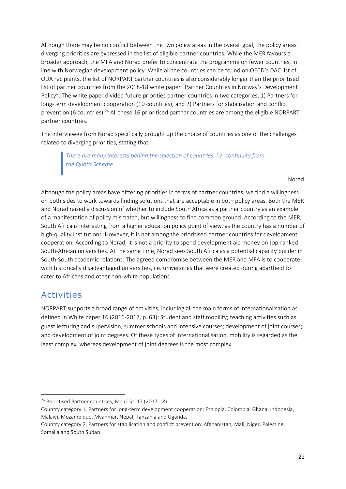Although there may be no conflict between the two policy areas in the overall goal, the policy areas' diverging priorities are expressed in the list of eligible partner countries. While the MER favours a broader approach, the MFA and Norad prefer to concentrate the programme on fewer countries, in line with Norwegian development policy. While all the countries can be found on OECD's DAC list of ODA recipients, the list of NORPART partner countries is also considerably longer than the prioritised list of partner countries from the 2018-18 white paper "Partner Countries in Norway's Development Policy". The white paper divided future priorities partner countries in two categories: 1) Partners for long-term development cooperation (10 countries); and 2) Partners for stabilisation and conflict prevention (6 countries).<sup>24</sup> All these 16 prioritised partner countries are among the eligible NORPART partner countries.

The interviewee from Norad specifically brought up the choice of countries as one of the challenges related to diverging priorities, stating that:

*There are many interests behind the selection of countries, i.e. continuity from the Quota Scheme*

Norad

Although the policy areas have differing priorities in terms of partner countries, we find a willingness on both sides to work towards finding solutions that are acceptable in both policy areas. Both the MER and Norad raised a discussion of whether to include South Africa as a partner country as an example of a manifestation of policy mismatch, but willingness to find common ground. According to the MER, South Africa is interesting from a higher education policy point of view, as the country has a number of high-quality institutions. However, it is not among the prioritised partner countries for development cooperation. According to Norad, it is not a priority to spend development aid money on top-ranked South-African universities. At the same time, Norad sees South Africa as a potential capacity builder in South-South academic relations. The agreed compromise between the MER and MFA is to cooperate with historically disadvantaged universities, i.e. universities that were created during apartheid to cater to Africans and other non-white populations.

## Activities

NORPART supports a broad range of activities, including all the main forms of internationalisation as defined in White paper 16 (2016-2017, p. 63): Student and staff mobility; teaching activities such as guest lecturing and supervision, summer schools and intensive courses; development of joint courses; and development of joint degrees. Of these types of internationalisation, mobility is regarded as the least complex, whereas development of joint degrees is the most complex.

<sup>24</sup> Prioritised Partner countries, Meld. St. 17 (2017-18):

Country category 1, Partners for long-term development cooperation: Ethiopia, Colombia, Ghana, Indonesia, Malawi, Mozambique, Myanmar, Nepal, Tanzania and Uganda.

Country category 2, Partners for stabilisation and conflict prevention: Afghanistan, Mali, Niger, Palestine, Somalia and South Sudan.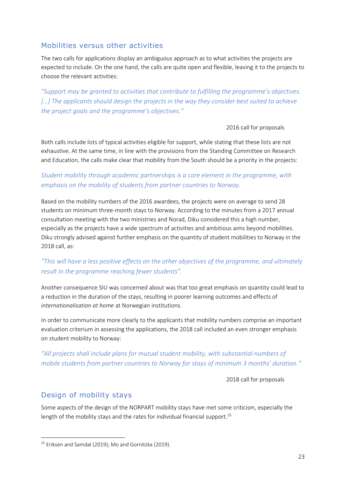#### Mobilities versus other activities

The two calls for applications display an ambiguous approach as to what activities the projects are expected to include. On the one hand, the calls are quite open and flexible, leaving it to the projects to choose the relevant activities:

*"Support may be granted to activities that contribute to fulfilling the programme's objectives. […] The applicants should design the projects in the way they consider best suited to achieve the project goals and the programme's objectives."*

#### 2016 call for proposals

Both calls include lists of typical activities eligible for support, while stating that these lists are not exhaustive. At the same time, in line with the provisions from the Standing Committee on Research and Education, the calls make clear that mobility from the South should be a priority in the projects:

#### *Student mobility through academic partnerships is a core element in the programme, with emphasis on the mobility of students from partner countries to Norway.*

Based on the mobility numbers of the 2016 awardees, the projects were on average to send 28 students on minimum three-month stays to Norway. According to the minutes from a 2017 annual consultation meeting with the two ministries and Norad, Diku considered this a high number, especially as the projects have a wide spectrum of activities and ambitious aims beyond mobilities. Diku strongly advised against further emphasis on the quantity of student mobilities to Norway in the 2018 call, as:

#### *"This will have a less positive effects on the other objectives of the programme, and ultimately result in the programme reaching fewer students".*

Another consequence SIU was concerned about was that too great emphasis on quantity could lead to a reduction in the duration of the stays, resulting in poorer learning outcomes and effects of *internationalisation at home* at Norwegian institutions.

In order to communicate more clearly to the applicants that mobility numbers comprise an important evaluation criterium in assessing the applications, the 2018 call included an even stronger emphasis on student mobility to Norway:

#### *"All projects shall include plans for mutual student mobility, with substantial numbers of mobile students from partner countries to Norway for stays of minimum 3 months' duration."*

2018 call for proposals

#### Design of mobility stays

Some aspects of the design of the NORPART mobility stays have met some criticism, especially the length of the mobility stays and the rates for individual financial support.<sup>25</sup>

<sup>&</sup>lt;sup>25</sup> Eriksen and Samdal (2019); Mo and Gornitzka (2019).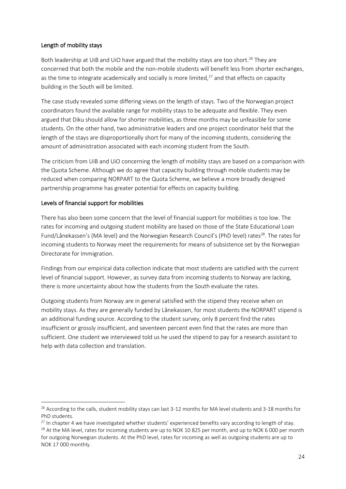#### Length of mobility stays

Both leadership at UiB and UiO have argued that the mobility stays are too short.<sup>26</sup> They are concerned that both the mobile and the non-mobile students will benefit less from shorter exchanges, as the time to integrate academically and socially is more limited, $27$  and that effects on capacity building in the South will be limited.

The case study revealed some differing views on the length of stays. Two of the Norwegian project coordinators found the available range for mobility stays to be adequate and flexible. They even argued that Diku should allow for shorter mobilities, as three months may be unfeasible for some students. On the other hand, two administrative leaders and one project coordinator held that the length of the stays are disproportionally short for many of the incoming students, considering the amount of administration associated with each incoming student from the South.

The criticism from UiB and UiO concerning the length of mobility stays are based on a comparison with the Quota Scheme. Although we do agree that capacity building through mobile students may be reduced when comparing NORPART to the Quota Scheme, we believe a more broadly designed partnership programme has greater potential for effects on capacity building.

#### Levels of financial support for mobilities

There has also been some concern that the level of financial support for mobilities is too low. The rates for incoming and outgoing student mobility are based on those of the State Educational Loan Fund/Lånekassen's (MA level) and the Norwegian Research Council's (PhD level) rates<sup>28</sup>. The rates for incoming students to Norway meet the requirements for means of subsistence set by the Norwegian Directorate for Immigration.

Findings from our empirical data collection indicate that most students are satisfied with the current level of financial support. However, as survey data from incoming students to Norway are lacking, there is more uncertainty about how the students from the South evaluate the rates.

Outgoing students from Norway are in general satisfied with the stipend they receive when on mobility stays. As they are generally funded by Lånekassen, for most students the NORPART stipend is an additional funding source. According to the student survey, only 8 percent find the rates insufficient or grossly insufficient, and seventeen percent even find that the rates are more than sufficient. One student we interviewed told us he used the stipend to pay for a research assistant to help with data collection and translation.

<sup>&</sup>lt;sup>26</sup> According to the calls, student mobility stays can last 3-12 months for MA level students and 3-18 months for PhD students.

 $^{27}$  In chapter 4 we have investigated whether students' experienced benefits vary according to length of stay.

<sup>&</sup>lt;sup>28</sup> At the MA level, rates for incoming students are up to NOK 10 825 per month, and up to NOK 6 000 per month for outgoing Norwegian students. At the PhD level, rates for incoming as well as outgoing students are up to NOK 17 000 monthly.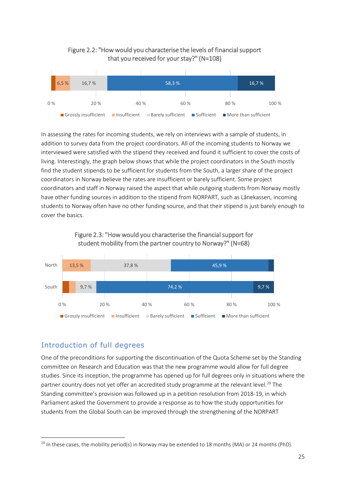



In assessing the rates for incoming students, we rely on interviews with a sample of students, in addition to survey data from the project coordinators. All of the incoming students to Norway we interviewed were satisfied with the stipend they received and found it sufficient to cover the costs of living. Interestingly, the graph below shows that while the project coordinators in the South mostly find the student stipends to be sufficient for students from the South, a larger share of the project coordinators in Norway believe the rates are insufficient or barely sufficient. Some project coordinators and staff in Norway raised the aspect that while outgoing students from Norway mostly have other funding sources in addition to the stipend from NORPART, such as Lånekassen, incoming students to Norway often have no other funding source, and that their stipend is just barely enough to cover the basics.





#### Introduction of full degrees

One of the preconditions for supporting the discontinuation of the Quota Scheme set by the Standing committee on Research and Education was that the new programme would allow for full degree studies. Since its inception, the programme has opened up for full degrees only in situations where the partner country does not yet offer an accredited study programme at the relevant level.<sup>29</sup> The Standing committee's provision was followed up in a petition resolution from 2018-19, in which Parliament asked the Government to provide a response as to how the study opportunities for students from the Global South can be improved through the strengthening of the NORPART

<sup>&</sup>lt;sup>29</sup> In these cases, the mobility period(s) in Norway may be extended to 18 months (MA) or 24 months (PhD).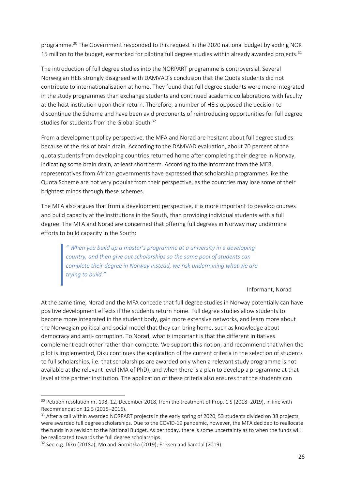programme.<sup>30</sup> The Government responded to this request in the 2020 national budget by adding NOK 15 million to the budget, earmarked for piloting full degree studies within already awarded projects.<sup>31</sup>

The introduction of full degree studies into the NORPART programme is controversial. Several Norwegian HEIs strongly disagreed with DAMVAD's conclusion that the Quota students did not contribute to internationalisation at home. They found that full degree students were more integrated in the study programmes than exchange students and continued academic collaborations with faculty at the host institution upon their return. Therefore, a number of HEIs opposed the decision to discontinue the Scheme and have been avid proponents of reintroducing opportunities for full degree studies for students from the Global South.<sup>32</sup>

From a development policy perspective, the MFA and Norad are hesitant about full degree studies because of the risk of brain drain. According to the DAMVAD evaluation, about 70 percent of the quota students from developing countries returned home after completing their degree in Norway, indicating some brain drain, at least short term. According to the informant from the MER, representatives from African governments have expressed that scholarship programmes like the Quota Scheme are not very popular from their perspective, as the countries may lose some of their brightest minds through these schemes.

The MFA also argues that from a development perspective, it is more important to develop courses and build capacity at the institutions in the South, than providing individual students with a full degree. The MFA and Norad are concerned that offering full degrees in Norway may undermine efforts to build capacity in the South:

*" When you build up a master's programme at a university in a developing country, and then give out scholarships so the same pool of students can complete their degree in Norway instead, we risk undermining what we are trying to build."*

Informant, Norad

At the same time, Norad and the MFA concede that full degree studies in Norway potentially can have positive development effects if the students return home. Full degree studies allow students to become more integrated in the student body, gain more extensive networks, and learn more about the Norwegian political and social model that they can bring home, such as knowledge about democracy and anti- corruption. To Norad, what is important is that the different initiatives complement each other rather than compete. We support this notion, and recommend that when the pilot is implemented, Diku continues the application of the current criteria in the selection of students to full scholarships, i.e. that scholarships are awarded only when a relevant study programme is not available at the relevant level (MA of PhD), and when there is a plan to develop a programme at that level at the partner institution. The application of these criteria also ensures that the students can

<sup>&</sup>lt;sup>30</sup> Petition resolution nr. 198, 12, December 2018, from the treatment of Prop. 1 S (2018–2019), in line with Recommendation 12 S (2015–2016).

<sup>&</sup>lt;sup>31</sup> After a call within awarded NORPART projects in the early spring of 2020, 53 students divided on 38 projects were awarded full degree scholarships. Due to the COVID-19 pandemic, however, the MFA decided to reallocate the funds in a revision to the National Budget. As per today, there is some uncertainty as to when the funds will be reallocated towards the full degree scholarships.

<sup>&</sup>lt;sup>32</sup> See e.g. Diku (2018a); Mo and Gornitzka (2019); Eriksen and Samdal (2019).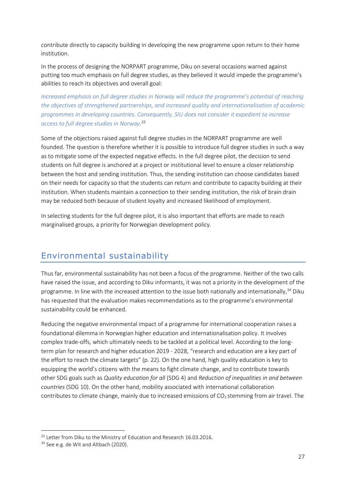contribute directly to capacity building in developing the new programme upon return to their home institution.

In the process of designing the NORPART programme, Diku on several occasions warned against putting too much emphasis on full degree studies, as they believed it would impede the programme's abilities to reach its objectives and overall goal:

*Increased emphasis on full degree studies in Norway will reduce the programme's potential of reaching the objectives of strengthened partnerships, and increased quality and internationalisation of academic programmes in developing countries. Consequently, SIU does not consider it expedient to increase access to full degree studies in Norway.<sup>33</sup>*

Some of the objections raised against full degree studies in the NORPART programme are well founded. The question is therefore whether it is possible to introduce full degree studies in such a way as to mitigate some of the expected negative effects. In the full degree pilot, the decision to send students on full degree is anchored at a project or institutional level to ensure a closer relationship between the host and sending institution. Thus, the sending institution can choose candidates based on their needs for capacity so that the students can return and contribute to capacity building at their institution. When students maintain a connection to their sending institution, the risk of brain drain may be reduced both because of student loyalty and increased likelihood of employment.

In selecting students for the full degree pilot, it is also important that efforts are made to reach marginalised groups, a priority for Norwegian development policy.

### <span id="page-27-0"></span>Environmental sustainability

Thus far, environmental sustainability has not been a focus of the programme. Neither of the two calls have raised the issue, and according to Diku informants, it was not a priority in the development of the programme. In line with the increased attention to the issue both nationally and internationally,<sup>34</sup> Diku has requested that the evaluation makes recommendations as to the programme's environmental sustainability could be enhanced.

Reducing the negative environmental impact of a programme for international cooperation raises a foundational dilemma in Norwegian higher education and internationalisation policy. It involves complex trade-offs, which ultimately needs to be tackled at a political level. According to the longterm plan for research and higher education 2019 - 2028, "research and education are a key part of the effort to reach the climate targets" (p. 22). On the one hand, high quality education is key to equipping the world's citizens with the means to fight climate change, and to contribute towards other SDG goals such as *Quality education for all* (SDG 4) and *Reduction of inequalities in and between countries* (SDG 10). On the other hand, mobility associated with international collaboration contributes to climate change, mainly due to increased emissions of  $CO<sub>2</sub>$  stemming from air travel. The

<sup>&</sup>lt;sup>33</sup> Letter from Diku to the Ministry of Education and Research 16.03.2016.

<sup>&</sup>lt;sup>34</sup> See e.g. de Wit and Altbach (2020).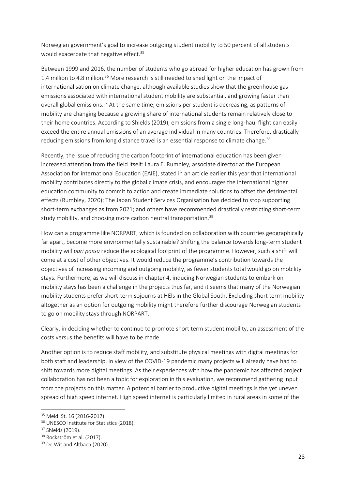Norwegian government's goal to increase outgoing student mobility to 50 percent of all students would exacerbate that negative effect.<sup>35</sup>

Between 1999 and 2016, the number of students who go abroad for higher education has grown from 1.4 million to 4.8 million.<sup>36</sup> More research is still needed to shed light on the impact of internationalisation on climate change, although available studies show that the greenhouse gas emissions associated with international student mobility are substantial, and growing faster than overall global emissions.<sup>37</sup> At the same time, emissions per student is decreasing, as patterns of mobility are changing because a growing share of international students remain relatively close to their home countries. According to Shields (2019), emissions from a single long-haul flight can easily exceed the entire annual emissions of an average individual in many countries. Therefore, drastically reducing emissions from long distance travel is an essential response to climate change.<sup>38</sup>

Recently, the issue of reducing the carbon footprint of international education has been given increased attention from the field itself: Laura E. Rumbley, associate director at the European Association for international Education (EAIE), stated in an article earlier this year that international mobility contributes directly to the global climate crisis, and encourages the international higher education community to commit to action and create immediate solutions to offset the detrimental effects (Rumbley, 2020); The Japan Student Services Organisation has decided to stop supporting short-term exchanges as from 2021; and others have recommended drastically restricting short-term study mobility, and choosing more carbon neutral transportation.<sup>39</sup>

How can a programme like NORPART, which is founded on collaboration with countries geographically far apart, become more environmentally sustainable? Shifting the balance towards long-term student mobility will *pari passu* reduce the ecological footprint of the programme. However, such a shift will come at a cost of other objectives. It would reduce the programme's contribution towards the objectives of increasing incoming and outgoing mobility, as fewer students total would go on mobility stays. Furthermore, as we will discuss in chapter 4, inducing Norwegian students to embark on mobility stays has been a challenge in the projects thus far, and it seems that many of the Norwegian mobility students prefer short-term sojourns at HEIs in the Global South. Excluding short term mobility altogether as an option for outgoing mobility might therefore further discourage Norwegian students to go on mobility stays through NORPART.

Clearly, in deciding whether to continue to promote short term student mobility, an assessment of the costs versus the benefits will have to be made.

Another option is to reduce staff mobility, and substitute physical meetings with digital meetings for both staff and leadership. In view of the COVID-19 pandemic many projects will already have had to shift towards more digital meetings. As their experiences with how the pandemic has affected project collaboration has not been a topic for exploration in this evaluation, we recommend gathering input from the projects on this matter. A potential barrier to productive digital meetings is the yet uneven spread of high speed internet. High speed internet is particularly limited in rural areas in some of the

<sup>35</sup> Meld. St. 16 (2016-2017).

<sup>&</sup>lt;sup>36</sup> UNESCO Institute for Statistics (2018).

<sup>&</sup>lt;sup>37</sup> Shields (2019).

<sup>&</sup>lt;sup>38</sup> Rockström et al. (2017).

<sup>&</sup>lt;sup>39</sup> De Wit and Altbach (2020).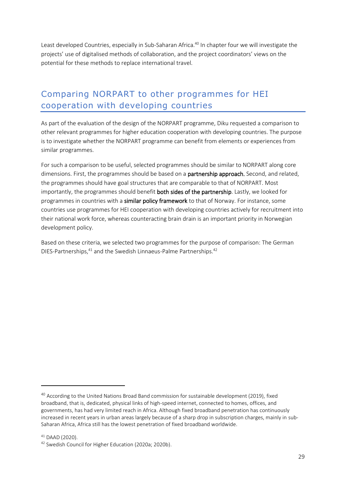Least developed Countries, especially in Sub-Saharan Africa.<sup>40</sup> In chapter four we will investigate the projects' use of digitalised methods of collaboration, and the project coordinators' views on the potential for these methods to replace international travel.

## <span id="page-29-0"></span>Comparing NORPART to other programmes for HEI cooperation with developing countries

As part of the evaluation of the design of the NORPART programme, Diku requested a comparison to other relevant programmes for higher education cooperation with developing countries. The purpose is to investigate whether the NORPART programme can benefit from elements or experiences from similar programmes.

For such a comparison to be useful, selected programmes should be similar to NORPART along core dimensions. First, the programmes should be based on a **partnership approach.** Second, and related, the programmes should have goal structures that are comparable to that of NORPART. Most importantly, the programmes should benefit **both sides of the partnership**. Lastly, we looked for programmes in countries with a similar policy framework to that of Norway. For instance, some countries use programmes for HEI cooperation with developing countries actively for recruitment into their national work force, whereas counteracting brain drain is an important priority in Norwegian development policy.

Based on these criteria, we selected two programmes for the purpose of comparison: The German DIES-Partnerships,<sup>41</sup> and the Swedish Linnaeus-Palme Partnerships.<sup>42</sup>

<sup>&</sup>lt;sup>40</sup> According to the United Nations Broad Band commission for sustainable development (2019), fixed broadband, that is, dedicated, physical links of high-speed internet, connected to homes, offices, and governments, has had very limited reach in Africa. Although fixed broadband penetration has continuously increased in recent years in urban areas largely because of a sharp drop in subscription charges, mainly in sub-Saharan Africa, Africa still has the lowest penetration of fixed broadband worldwide.

 $41$  DAAD (2020).

<sup>42</sup> Swedish Council for Higher Education (2020a; 2020b).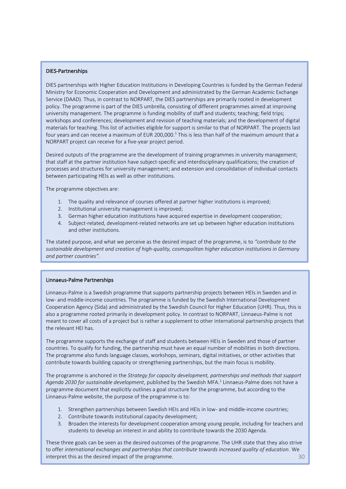#### DIES-Partnerships

DIES partnerships with Higher Education Institutions in Developing Countries is funded by the German Federal Ministry for Economic Cooperation and Development and administrated by the German Academic Exchange Service (DAAD). Thus, in contrast to NORPART, the DIES partnerships are primarily rooted in development policy. The programme is part of the DIES umbrella, consisting of different programmes aimed at improving university management. The programme is funding mobility of staff and students; teaching; field trips; workshops and conferences; development and revision of teaching materials; and the development of digital materials for teaching. This list of activities eligible for support is similar to that of NORPART. The projects last four years and can receive a maximum of EUR 200,000.<sup>1</sup> This is less than half of the maximum amount that a NORPART project can receive for a five-year project period.

Desired outputs of the programme are the development of training programmes in university management; that staff at the partner institution have subject-specific and interdisciplinary qualifications; the creation of processes and structures for university management; and extension and consolidation of individual contacts between participating HEIs as well as other institutions.

The programme objectives are:

- 1. The quality and relevance of courses offered at partner higher institutions is improved;
- 2. Institutional university management is improved;
- 3. German higher education institutions have acquired expertise in development cooperation;
- 4. Subject-related, development-related networks are set up between higher education institutions and other institutions.

The stated purpose, and what we perceive as the desired impact of the programme, is to *"contribute to the sustainable development and creation of high-quality, cosmopolitan higher education institutions in Germany and partner countries".*

#### Linnaeus-Palme Partnerships

Linnaeus-Palme is a Swedish programme that supports partnership projects between HEIs in Sweden and in low- and middle-income countries. The programme is funded by the Swedish International Development Cooperation Agency (Sida) and administrated by the Swedish Council for Higher Education (UHR). Thus, this is also a programme rooted primarily in development policy. In contrast to NORPART, Linnaeus-Palme is not meant to cover all costs of a project but is rather a supplement to other international partnership projects that the relevant HEI has.

The programme supports the exchange of staff and students between HEIs in Sweden and those of partner countries. To qualify for funding, the partnership must have an equal number of mobilities in both directions. The programme also funds language classes, workshops, seminars, digital initiatives, or other activities that contribute towards building capacity or strengthening partnerships, but the main focus is mobility.

The programme is anchored in the *Strategy for capacity development, partnerships and methods that support*  Agenda 2030 for sustainable development, published by the Swedish MFA.<sup>1</sup> Linnaeus-Palme does not have a programme document that explicitly outlines a goal structure for the programme, but according to the Linnaeus-Palme website, the purpose of the programme is to:

- 1. Strengthen partnerships between Swedish HEIs and HEIs in low- and middle-income countries;
- 2. Contribute towards institutional capacity development;
- 3. Broaden the interests for development cooperation among young people, including for teachers and students to develop an interest in and ability to contribute towards the 2030 Agenda.

 $30$ These three goals can be seen as the desired outcomes of the programme. The UHR state that they also strive to offer *international exchanges and partnerships that contribute towards increased quality of education*. We interpret this as the desired impact of the programme.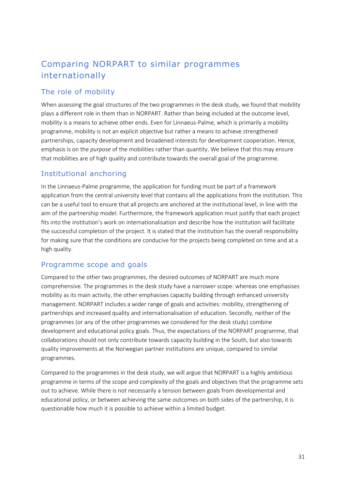## Comparing NORPART to similar programmes internationally

#### The role of mobility

When assessing the goal structures of the two programmes in the desk study, we found that mobility plays a different role in them than in NORPART. Rather than being included at the outcome level, mobility is a means to achieve other ends. Even for Linnaeus-Palme, which is primarily a mobility programme, mobility is not an explicit objective but rather a means to achieve strengthened partnerships, capacity development and broadened interests for development cooperation. Hence, emphasis is on the *purpose* of the mobilities rather than quantity. We believe that this may ensure that mobilities are of high quality and contribute towards the overall goal of the programme.

#### Institutional anchoring

In the Linnaeus-Palme programme, the application for funding must be part of a framework application from the central university level that contains all the applications from the institution. This can be a useful tool to ensure that all projects are anchored at the institutional level, in line with the aim of the partnership model. Furthermore, the framework application must justify that each project fits into the institution's work on internationalisation and describe how the institution will facilitate the successful completion of the project. It is stated that the institution has the overall responsibility for making sure that the conditions are conducive for the projects being completed on time and at a high quality.

#### Programme scope and goals

Compared to the other two programmes, the desired outcomes of NORPART are much more comprehensive. The programmes in the desk study have a narrower scope: whereas one emphasises mobility as its main activity, the other emphasises capacity building through enhanced university management. NORPART includes a wider range of goals and activities: mobility, strengthening of partnerships and increased quality and internationalisation of education. Secondly, neither of the programmes (or any of the other programmes we considered for the desk study) combine development and educational policy goals. Thus, the expectations of the NORPART programme, that collaborations should not only contribute towards capacity building in the South, but also towards quality improvements at the Norwegian partner institutions are unique, compared to similar programmes.

Compared to the programmes in the desk study, we will argue that NORPART is a highly ambitious programme in terms of the scope and complexity of the goals and objectives that the programme sets out to achieve. While there is not necessarily a tension between goals from developmental and educational policy, or between achieving the same outcomes on both sides of the partnership, it is questionable how much it is possible to achieve within a limited budget.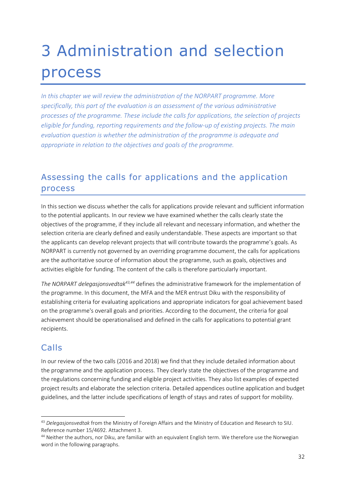## <span id="page-32-0"></span>3 Administration and selection process

*In this chapter we will review the administration of the NORPART programme. More specifically, this part of the evaluation is an assessment of the various administrative processes of the programme. These include the calls for applications, the selection of projects eligible for funding, reporting requirements and the follow-up of existing projects. The main evaluation question is whether the administration of the programme is adequate and appropriate in relation to the objectives and goals of the programme.* 

## <span id="page-32-1"></span>Assessing the calls for applications and the application process

In this section we discuss whether the calls for applications provide relevant and sufficient information to the potential applicants. In our review we have examined whether the calls clearly state the objectives of the programme, if they include all relevant and necessary information, and whether the selection criteria are clearly defined and easily understandable. These aspects are important so that the applicants can develop relevant projects that will contribute towards the programme's goals. As NORPART is currently not governed by an overriding programme document, the calls for applications are the authoritative source of information about the programme, such as goals, objectives and activities eligible for funding. The content of the calls is therefore particularly important.

*The NORPART delegasjonsvedtak 43,44* defines the administrative framework for the implementation of the programme. In this document, the MFA and the MER entrust Diku with the responsibility of establishing criteria for evaluating applications and appropriate indicators for goal achievement based on the programme's overall goals and priorities. According to the document, the criteria for goal achievement should be operationalised and defined in the calls for applications to potential grant recipients.

### Calls

In our review of the two calls (2016 and 2018) we find that they include detailed information about the programme and the application process. They clearly state the objectives of the programme and the regulations concerning funding and eligible project activities. They also list examples of expected project results and elaborate the selection criteria. Detailed appendices outline application and budget guidelines, and the latter include specifications of length of stays and rates of support for mobility.

<sup>43</sup> *Delegasjonsvedtak* from the Ministry of Foreign Affairs and the Ministry of Education and Research to SIU. Reference number 15/4692. Attachment 3.

<sup>&</sup>lt;sup>44</sup> Neither the authors, nor Diku, are familiar with an equivalent English term. We therefore use the Norwegian word in the following paragraphs.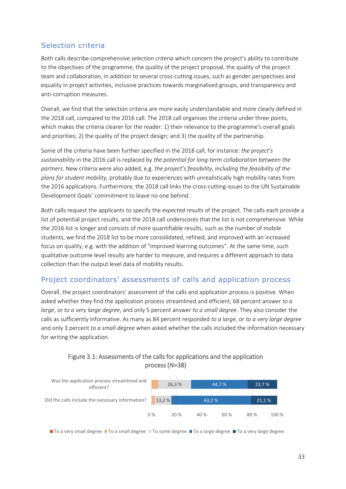#### Selection criteria

Both calls describe comprehensive *selection criteria* which concern the project's ability to contribute to the objectives of the programme, the quality of the project proposal, the quality of the project team and collaboration, in addition to several cross-cutting issues, such as gender perspectives and equality in project activities, inclusive practices towards marginalised groups, and transparency and anti-corruption measures.

Overall, we find that the selection criteria are more easily understandable and more clearly defined in the 2018 call, compared to the 2016 call. The 2018 call organises the criteria under three points, which makes the criteria clearer for the reader: 1) their relevance to the programme's overall goals and priorities; 2) the quality of the project design; and 3) the quality of the partnership.

Some of the criteria have been further specified in the 2018 call, for instance: *the project's sustainability* in the 2016 call is replaced by *the potential for long-term collaboration between the partners*. New criteria were also added, e.g. *the project's feasibility, including the feasibility of the plans for student mobility,* probably due to experiences with unrealistically high mobility rates from the 2016 applications. Furthermore, the 2018 call links the cross-cutting issues to the UN Sustainable Development Goals' commitment to leave no one behind.

Both calls request the applicants to specify the *expected results* of the project. The calls each provide a list of potential project results, and the 2018 call underscores that the list is not comprehensive. While the 2016 list is longer and consists of more quantifiable results, such as the number of mobile students, we find the 2018 list to be more consolidated, refined, and improved with an increased focus on quality, e.g. with the addition of "improved learning outcomes". At the same time, such qualitative outcome level results are harder to measure, and requires a different approach to data collection than the output level data of mobility results.

#### Project coordinators' assessments of calls and application process

Overall, the project coordinators' assessment of the calls and application process is positive. When asked whether they find the application process streamlined and efficient, 68 percent answer *to a large*, or *to a very large degree*, and only 5 percent answer *to a small degree*. They also consider the calls as sufficiently informative. As many as 84 percent responded *to a large*, or *to a very large degree* and only 3 percent *to a small degree* when asked whether the calls included the information necessary for writing the application.

#### Figure 3.1: Assessments of the calls for applications and the application process (N=38)



■ To a very small degree ■ To a small degree ■ To some degree ■ To a large degree ■ To a very large degree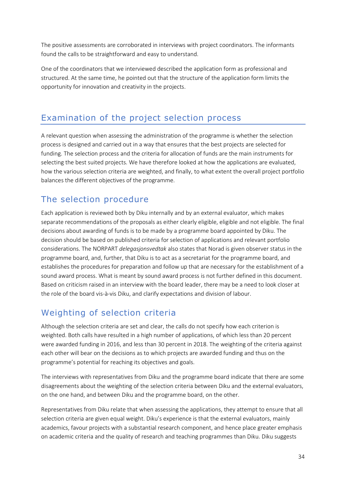The positive assessments are corroborated in interviews with project coordinators. The informants found the calls to be straightforward and easy to understand.

One of the coordinators that we interviewed described the application form as professional and structured. At the same time, he pointed out that the structure of the application form limits the opportunity for innovation and creativity in the projects.

## <span id="page-34-0"></span>Examination of the project selection process

A relevant question when assessing the administration of the programme is whether the selection process is designed and carried out in a way that ensures that the best projects are selected for funding. The selection process and the criteria for allocation of funds are the main instruments for selecting the best suited projects. We have therefore looked at how the applications are evaluated, how the various selection criteria are weighted, and finally, to what extent the overall project portfolio balances the different objectives of the programme.

## The selection procedure

Each application is reviewed both by Diku internally and by an external evaluator, which makes separate recommendations of the proposals as either clearly eligible, eligible and not eligible. The final decisions about awarding of funds is to be made by a programme board appointed by Diku. The decision should be based on published criteria for selection of applications and relevant portfolio considerations. The NORPART *delegasjonsvedtak* also states that Norad is given observer status in the programme board, and, further, that Diku is to act as a secretariat for the programme board, and establishes the procedures for preparation and follow up that are necessary for the establishment of a sound award process. What is meant by sound award process is not further defined in this document. Based on criticism raised in an interview with the board leader, there may be a need to look closer at the role of the board vis-à-vis Diku, and clarify expectations and division of labour.

## Weighting of selection criteria

Although the selection criteria are set and clear, the calls do not specify how each criterion is weighted. Both calls have resulted in a high number of applications, of which less than 20 percent were awarded funding in 2016, and less than 30 percent in 2018. The weighting of the criteria against each other will bear on the decisions as to which projects are awarded funding and thus on the programme's potential for reaching its objectives and goals.

The interviews with representatives from Diku and the programme board indicate that there are some disagreements about the weighting of the selection criteria between Diku and the external evaluators, on the one hand, and between Diku and the programme board, on the other.

Representatives from Diku relate that when assessing the applications, they attempt to ensure that all selection criteria are given equal weight. Diku's experience is that the external evaluators, mainly academics, favour projects with a substantial research component, and hence place greater emphasis on academic criteria and the quality of research and teaching programmes than Diku. Diku suggests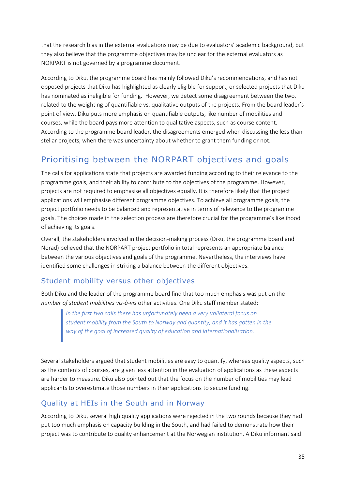that the research bias in the external evaluations may be due to evaluators' academic background, but they also believe that the programme objectives may be unclear for the external evaluators as NORPART is not governed by a programme document.

According to Diku, the programme board has mainly followed Diku's recommendations, and has not opposed projects that Diku has highlighted as clearly eligible for support, or selected projects that Diku has nominated as ineligible for funding. However, we detect some disagreement between the two, related to the weighting of quantifiable vs. qualitative outputs of the projects. From the board leader's point of view, Diku puts more emphasis on quantifiable outputs, like number of mobilities and courses, while the board pays more attention to qualitative aspects, such as course content. According to the programme board leader, the disagreements emerged when discussing the less than stellar projects, when there was uncertainty about whether to grant them funding or not.

## Prioritising between the NORPART objectives and goals

The calls for applications state that projects are awarded funding according to their relevance to the programme goals, and their ability to contribute to the objectives of the programme. However, projects are not required to emphasise all objectives equally. It is therefore likely that the project applications will emphasise different programme objectives. To achieve all programme goals, the project portfolio needs to be balanced and representative in terms of relevance to the programme goals. The choices made in the selection process are therefore crucial for the programme's likelihood of achieving its goals.

Overall, the stakeholders involved in the decision-making process (Diku, the programme board and Norad) believed that the NORPART project portfolio in total represents an appropriate balance between the various objectives and goals of the programme. Nevertheless, the interviews have identified some challenges in striking a balance between the different objectives.

#### Student mobility versus other objectives

Both Diku and the leader of the programme board find that too much emphasis was put on the *number of student mobilities vis-à-vis* other activities. One Diku staff member stated:

> *In the first two calls there has unfortunately been a very unilateral focus on student mobility from the South to Norway and quantity, and it has gotten in the way of the goal of increased quality of education and internationalisation.*

Several stakeholders argued that student mobilities are easy to quantify, whereas quality aspects, such as the contents of courses, are given less attention in the evaluation of applications as these aspects are harder to measure. Diku also pointed out that the focus on the number of mobilities may lead applicants to overestimate those numbers in their applications to secure funding.

#### Quality at HEIs in the South and in Norway

According to Diku, several high quality applications were rejected in the two rounds because they had put too much emphasis on capacity building in the South, and had failed to demonstrate how their project was to contribute to quality enhancement at the Norwegian institution. A Diku informant said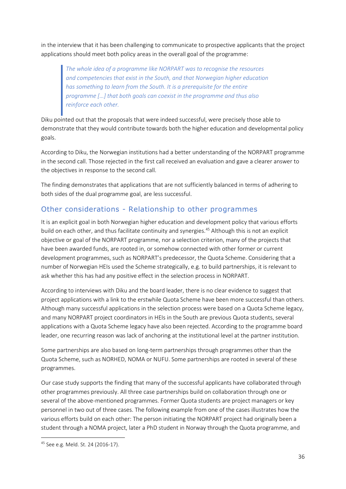in the interview that it has been challenging to communicate to prospective applicants that the project applications should meet both policy areas in the overall goal of the programme:

*The whole idea of a programme like NORPART was to recognise the resources and competencies that exist in the South, and that Norwegian higher education has something to learn from the South. It is a prerequisite for the entire programme […] that both goals can coexist in the programme and thus also reinforce each other.*

Diku pointed out that the proposals that were indeed successful, were precisely those able to demonstrate that they would contribute towards both the higher education and developmental policy goals.

According to Diku, the Norwegian institutions had a better understanding of the NORPART programme in the second call. Those rejected in the first call received an evaluation and gave a clearer answer to the objectives in response to the second call.

The finding demonstrates that applications that are not sufficiently balanced in terms of adhering to both sides of the dual programme goal, are less successful.

### Other considerations - Relationship to other programmes

It is an explicit goal in both Norwegian higher education and development policy that various efforts build on each other, and thus facilitate continuity and synergies.<sup>45</sup> Although this is not an explicit objective or goal of the NORPART programme, nor a selection criterion, many of the projects that have been awarded funds, are rooted in, or somehow connected with other former or current development programmes, such as NORPART's predecessor, the Quota Scheme. Considering that a number of Norwegian HEIs used the Scheme strategically, e.g. to build partnerships, it is relevant to ask whether this has had any positive effect in the selection process in NORPART.

According to interviews with Diku and the board leader, there is no clear evidence to suggest that project applications with a link to the erstwhile Quota Scheme have been more successful than others. Although many successful applications in the selection process were based on a Quota Scheme legacy, and many NORPART project coordinators in HEIs in the South are previous Quota students, several applications with a Quota Scheme legacy have also been rejected. According to the programme board leader, one recurring reason was lack of anchoring at the institutional level at the partner institution.

Some partnerships are also based on long-term partnerships through programmes other than the Quota Scheme, such as NORHED, NOMA or NUFU. Some partnerships are rooted in several of these programmes.

Our case study supports the finding that many of the successful applicants have collaborated through other programmes previously. All three case partnerships build on collaboration through one or several of the above-mentioned programmes. Former Quota students are project managers or key personnel in two out of three cases. The following example from one of the cases illustrates how the various efforts build on each other: The person initiating the NORPART project had originally been a student through a NOMA project, later a PhD student in Norway through the Quota programme, and

<sup>45</sup> See e.g. Meld. St. 24 (2016-17).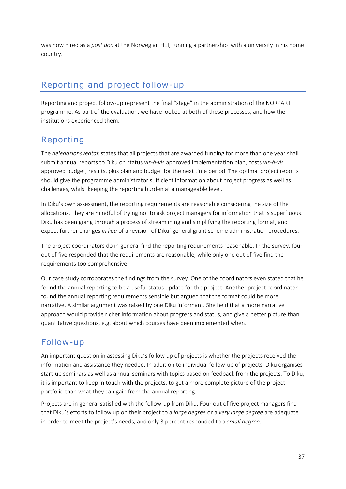was now hired as a *post doc* at the Norwegian HEI, running a partnership with a university in his home country.

# Reporting and project follow-up

Reporting and project follow-up represent the final "stage" in the administration of the NORPART programme. As part of the evaluation, we have looked at both of these processes, and how the institutions experienced them.

### Reporting

The *delegasjonsvedtak* states that all projects that are awarded funding for more than one year shall submit annual reports to Diku on status *vis-à-vis* approved implementation plan, costs *vis-à-vis* approved budget, results, plus plan and budget for the next time period. The optimal project reports should give the programme administrator sufficient information about project progress as well as challenges, whilst keeping the reporting burden at a manageable level.

In Diku's own assessment, the reporting requirements are reasonable considering the size of the allocations. They are mindful of trying not to ask project managers for information that is superfluous. Diku has been going through a process of streamlining and simplifying the reporting format, and expect further changes *in lieu* of a revision of Diku' general grant scheme administration procedures.

The project coordinators do in general find the reporting requirements reasonable. In the survey, four out of five responded that the requirements are reasonable, while only one out of five find the requirements too comprehensive.

Our case study corroborates the findings from the survey. One of the coordinators even stated that he found the annual reporting to be a useful status update for the project. Another project coordinator found the annual reporting requirements sensible but argued that the format could be more narrative. A similar argument was raised by one Diku informant. She held that a more narrative approach would provide richer information about progress and status, and give a better picture than quantitative questions, e.g. about which courses have been implemented when.

### Follow-up

An important question in assessing Diku's follow up of projects is whether the projects received the information and assistance they needed. In addition to individual follow-up of projects, Diku organises start-up seminars as well as annual seminars with topics based on feedback from the projects. To Diku, it is important to keep in touch with the projects, to get a more complete picture of the project portfolio than what they can gain from the annual reporting.

Projects are in general satisfied with the follow-up from Diku. Four out of five project managers find that Diku's efforts to follow up on their project to a *large degree* or a *very large degree* are adequate in order to meet the project's needs, and only 3 percent responded to a *small degree*.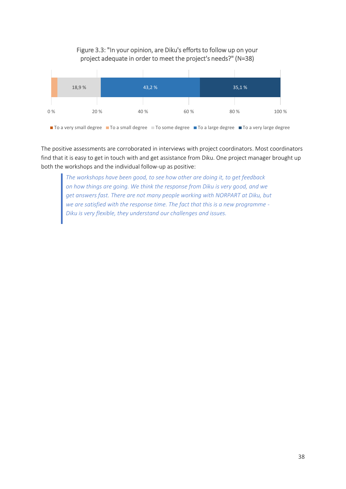### Figure 3.3: "In your opinion, are Diku's efforts to follow up on your project adequate in order to meet the project's needs?" (N=38)



The positive assessments are corroborated in interviews with project coordinators. Most coordinators find that it is easy to get in touch with and get assistance from Diku. One project manager brought up both the workshops and the individual follow-up as positive:

*The workshops have been good, to see how other are doing it, to get feedback on how things are going. We think the response from Diku is very good, and we get answers fast. There are not many people working with NORPART at Diku, but we are satisfied with the response time. The fact that this is a new programme - Diku is very flexible, they understand our challenges and issues.*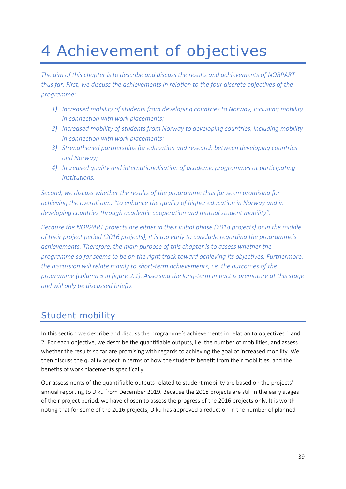# 4 Achievement of objectives

*The aim of this chapter is to describe and discuss the results and achievements of NORPART thus far. First, we discuss the achievements in relation to the four discrete objectives of the programme:* 

- *1) Increased mobility of students from developing countries to Norway, including mobility in connection with work placements;*
- *2) Increased mobility of students from Norway to developing countries, including mobility in connection with work placements;*
- *3) Strengthened partnerships for education and research between developing countries and Norway;*
- *4) Increased quality and internationalisation of academic programmes at participating institutions.*

*Second, we discuss whether the results of the programme thus far seem promising for achieving the overall aim: "to enhance the quality of higher education in Norway and in developing countries through academic cooperation and mutual student mobility".*

*Because the NORPART projects are either in their initial phase (2018 projects) or in the middle of their project period (2016 projects), it is too early to conclude regarding the programme's achievements. Therefore, the main purpose of this chapter is to assess whether the programme so far seems to be on the right track toward achieving its objectives. Furthermore, the discussion will relate mainly to short-term achievements, i.e. the outcomes of the programme (column 5 in figure 2.1). Assessing the long-term impact is premature at this stage and will only be discussed briefly.*

### Student mobility

In this section we describe and discuss the programme's achievements in relation to objectives 1 and 2. For each objective, we describe the quantifiable outputs, i.e. the number of mobilities, and assess whether the results so far are promising with regards to achieving the goal of increased mobility. We then discuss the quality aspect in terms of how the students benefit from their mobilities, and the benefits of work placements specifically.

Our assessments of the quantifiable outputs related to student mobility are based on the projects' annual reporting to Diku from December 2019. Because the 2018 projects are still in the early stages of their project period, we have chosen to assess the progress of the 2016 projects only. It is worth noting that for some of the 2016 projects, Diku has approved a reduction in the number of planned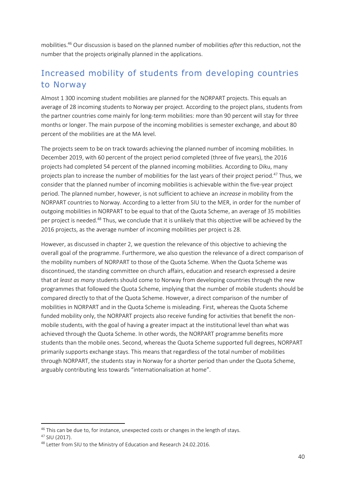mobilities.<sup>46</sup> Our discussion is based on the planned number of mobilities *after* this reduction, not the number that the projects originally planned in the applications.

# Increased mobility of students from developing countries to Norway

Almost 1 300 incoming student mobilities are planned for the NORPART projects. This equals an average of 28 incoming students to Norway per project. According to the project plans, students from the partner countries come mainly for long-term mobilities: more than 90 percent will stay for three months or longer. The main purpose of the incoming mobilities is semester exchange, and about 80 percent of the mobilities are at the MA level.

The projects seem to be on track towards achieving the planned number of incoming mobilities. In December 2019, with 60 percent of the project period completed (three of five years), the 2016 projects had completed 54 percent of the planned incoming mobilities. According to Diku, many projects plan to increase the number of mobilities for the last years of their project period.<sup>47</sup> Thus, we consider that the planned number of incoming mobilities is achievable within the five-year project period. The planned number, however, is not sufficient to achieve an *increase* in mobility from the NORPART countries to Norway. According to a letter from SIU to the MER, in order for the number of outgoing mobilities in NORPART to be equal to that of the Quota Scheme, an average of 35 mobilities per project is needed.<sup>48</sup> Thus, we conclude that it is unlikely that this objective will be achieved by the 2016 projects, as the average number of incoming mobilities per project is 28.

However, as discussed in chapter 2, we question the relevance of this objective to achieving the overall goal of the programme. Furthermore, we also question the relevance of a direct comparison of the mobility numbers of NORPART to those of the Quota Scheme. When the Quota Scheme was discontinued, the standing committee on church affairs, education and research expressed a desire that *at least as many* students should come to Norway from developing countries through the new programmes that followed the Quota Scheme, implying that the number of mobile students should be compared directly to that of the Quota Scheme. However, a direct comparison of the number of mobilities in NORPART and in the Quota Scheme is misleading. First, whereas the Quota Scheme funded mobility only, the NORPART projects also receive funding for activities that benefit the nonmobile students, with the goal of having a greater impact at the institutional level than what was achieved through the Quota Scheme. In other words, the NORPART programme benefits more students than the mobile ones. Second, whereas the Quota Scheme supported full degrees, NORPART primarily supports exchange stays. This means that regardless of the total number of mobilities through NORPART, the students stay in Norway for a shorter period than under the Quota Scheme, arguably contributing less towards "internationalisation at home".

<sup>&</sup>lt;sup>46</sup> This can be due to, for instance, unexpected costs or changes in the length of stays.

<sup>47</sup> SIU (2017).

<sup>48</sup> Letter from SIU to the Ministry of Education and Research 24.02.2016.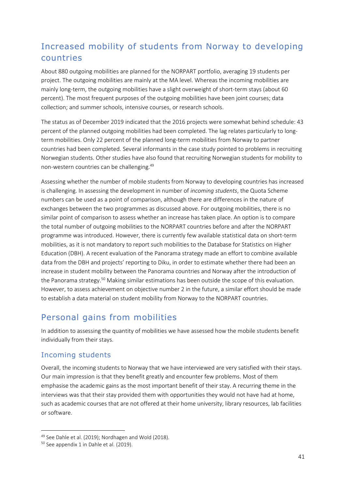## Increased mobility of students from Norway to developing countries

About 880 outgoing mobilities are planned for the NORPART portfolio, averaging 19 students per project. The outgoing mobilities are mainly at the MA level. Whereas the incoming mobilities are mainly long-term, the outgoing mobilities have a slight overweight of short-term stays (about 60 percent). The most frequent purposes of the outgoing mobilities have been joint courses; data collection; and summer schools, intensive courses, or research schools.

The status as of December 2019 indicated that the 2016 projects were somewhat behind schedule: 43 percent of the planned outgoing mobilities had been completed. The lag relates particularly to longterm mobilities. Only 22 percent of the planned long-term mobilities from Norway to partner countries had been completed. Several informants in the case study pointed to problems in recruiting Norwegian students. Other studies have also found that recruiting Norwegian students for mobility to non-western countries can be challenging.<sup>49</sup>

Assessing whether the number of mobile students from Norway to developing countries has increased is challenging. In assessing the development in number of *incoming students*, the Quota Scheme numbers can be used as a point of comparison, although there are differences in the nature of exchanges between the two programmes as discussed above. For outgoing mobilities, there is no similar point of comparison to assess whether an increase has taken place. An option is to compare the total number of outgoing mobilities to the NORPART countries before and after the NORPART programme was introduced. However, there is currently few available statistical data on short-term mobilities, as it is not mandatory to report such mobilities to the Database for Statistics on Higher Education (DBH). A recent evaluation of the Panorama strategy made an effort to combine available data from the DBH and projects' reporting to Diku, in order to estimate whether there had been an increase in student mobility between the Panorama countries and Norway after the introduction of the Panorama strategy.<sup>50</sup> Making similar estimations has been outside the scope of this evaluation. However, to assess achievement on objective number 2 in the future, a similar effort should be made to establish a data material on student mobility from Norway to the NORPART countries.

### Personal gains from mobilities

In addition to assessing the quantity of mobilities we have assessed how the mobile students benefit individually from their stays.

### Incoming students

Overall, the incoming students to Norway that we have interviewed are very satisfied with their stays. Our main impression is that they benefit greatly and encounter few problems. Most of them emphasise the academic gains as the most important benefit of their stay. A recurring theme in the interviews was that their stay provided them with opportunities they would not have had at home, such as academic courses that are not offered at their home university, library resources, lab facilities or software.

<sup>49</sup> See Dahle et al. (2019); Nordhagen and Wold (2018).

<sup>&</sup>lt;sup>50</sup> See appendix 1 in Dahle et al. (2019).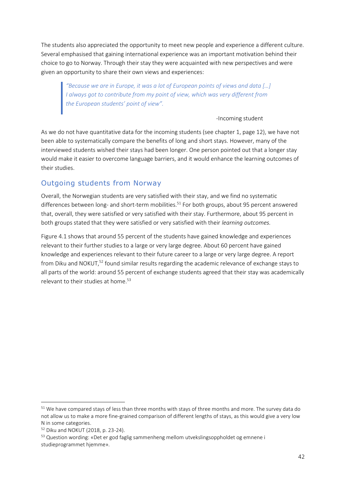The students also appreciated the opportunity to meet new people and experience a different culture. Several emphasised that gaining international experience was an important motivation behind their choice to go to Norway. Through their stay they were acquainted with new perspectives and were given an opportunity to share their own views and experiences:

*"Because we are in Europe, it was a lot of European points of views and data […] I always got to contribute from my point of view, which was very different from the European students' point of view".*

-Incoming student

As we do not have quantitative data for the incoming students (see chapter 1, page 12), we have not been able to systematically compare the benefits of long and short stays. However, many of the interviewed students wished their stays had been longer. One person pointed out that a longer stay would make it easier to overcome language barriers, and it would enhance the learning outcomes of their studies.

### Outgoing students from Norway

Overall, the Norwegian students are very satisfied with their stay, and we find no systematic differences between long- and short-term mobilities.<sup>51</sup> For both groups, about 95 percent answered that, overall, they were satisfied or very satisfied with their stay. Furthermore, about 95 percent in both groups stated that they were satisfied or very satisfied with their *learning outcomes.*

Figure 4.1 shows that around 55 percent of the students have gained knowledge and experiences relevant to their further studies to a large or very large degree. About 60 percent have gained knowledge and experiences relevant to their future career to a large or very large degree. A report from Diku and NOKUT,<sup>52</sup> found similar results regarding the academic relevance of exchange stays to all parts of the world: around 55 percent of exchange students agreed that their stay was academically relevant to their studies at home.<sup>53</sup>

<sup>&</sup>lt;sup>51</sup> We have compared stays of less than three months with stays of three months and more. The survey data do not allow us to make a more fine-grained comparison of different lengths of stays, as this would give a very low N in some categories.

<sup>52</sup> Diku and NOKUT (2018, p. 23-24).

<sup>53</sup> Question wording: «Det er god faglig sammenheng mellom utvekslingsoppholdet og emnene i studieprogrammet hjemme».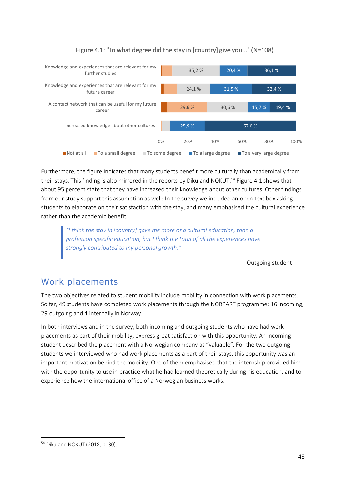

### Figure 4.1: "To what degree did the stay in [country] give you..." (N=108)

Furthermore, the figure indicates that many students benefit more culturally than academically from their stays. This finding is also mirrored in the reports by Diku and NOKUT.<sup>54</sup> Figure 4.1 shows that about 95 percent state that they have increased their knowledge about other cultures. Other findings from our study support this assumption as well: In the survey we included an open text box asking students to elaborate on their satisfaction with the stay, and many emphasised the cultural experience rather than the academic benefit:

*"I think the stay in [country] gave me more of a cultural education, than a profession specific education, but I think the total of all the experiences have strongly contributed to my personal growth."*

Outgoing student

### Work placements

The two objectives related to student mobility include mobility in connection with work placements. So far, 49 students have completed work placements through the NORPART programme: 16 incoming, 29 outgoing and 4 internally in Norway.

In both interviews and in the survey, both incoming and outgoing students who have had work placements as part of their mobility, express great satisfaction with this opportunity. An incoming student described the placement with a Norwegian company as "valuable". For the two outgoing students we interviewed who had work placements as a part of their stays, this opportunity was an important motivation behind the mobility. One of them emphasised that the internship provided him with the opportunity to use in practice what he had learned theoretically during his education, and to experience how the international office of a Norwegian business works.

<sup>54</sup> Diku and NOKUT (2018, p. 30).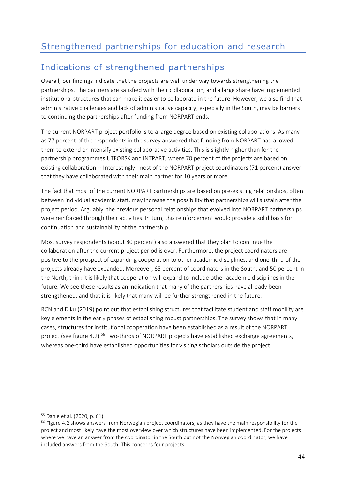# Indications of strengthened partnerships

Overall, our findings indicate that the projects are well under way towards strengthening the partnerships. The partners are satisfied with their collaboration, and a large share have implemented institutional structures that can make it easier to collaborate in the future. However, we also find that administrative challenges and lack of administrative capacity, especially in the South, may be barriers to continuing the partnerships after funding from NORPART ends.

The current NORPART project portfolio is to a large degree based on existing collaborations. As many as 77 percent of the respondents in the survey answered that funding from NORPART had allowed them to extend or intensify existing collaborative activities. This is slightly higher than for the partnership programmes UTFORSK and INTPART, where 70 percent of the projects are based on existing collaboration.<sup>55</sup> Interestingly, most of the NORPART project coordinators (71 percent) answer that they have collaborated with their main partner for 10 years or more.

The fact that most of the current NORPART partnerships are based on pre-existing relationships, often between individual academic staff, may increase the possibility that partnerships will sustain after the project period. Arguably, the previous personal relationships that evolved into NORPART partnerships were reinforced through their activities. In turn, this reinforcement would provide a solid basis for continuation and sustainability of the partnership.

Most survey respondents (about 80 percent) also answered that they plan to continue the collaboration after the current project period is over. Furthermore, the project coordinators are positive to the prospect of expanding cooperation to other academic disciplines, and one-third of the projects already have expanded. Moreover, 65 percent of coordinators in the South, and 50 percent in the North, think it is likely that cooperation will expand to include other academic disciplines in the future. We see these results as an indication that many of the partnerships have already been strengthened, and that it is likely that many will be further strengthened in the future.

RCN and Diku (2019) point out that establishing structures that facilitate student and staff mobility are key elements in the early phases of establishing robust partnerships. The survey shows that in many cases, structures for institutional cooperation have been established as a result of the NORPART project (see figure 4.2).<sup>56</sup> Two-thirds of NORPART projects have established exchange agreements, whereas one-third have established opportunities for visiting scholars outside the project.

<sup>55</sup> Dahle et al. (2020, p. 61).

<sup>&</sup>lt;sup>56</sup> Figure 4.2 shows answers from Norwegian project coordinators, as they have the main responsibility for the project and most likely have the most overview over which structures have been implemented. For the projects where we have an answer from the coordinator in the South but not the Norwegian coordinator, we have included answers from the South. This concerns four projects.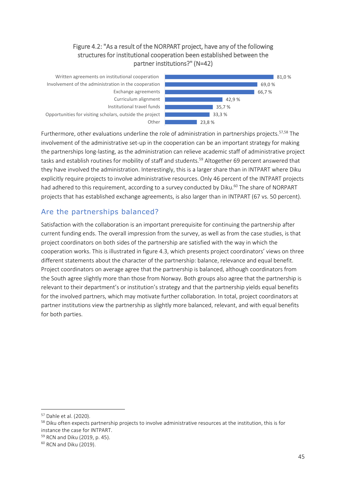### Figure 4.2: "As a result of the NORPART project, have any of the following structures for institutional cooperation been established between the partner institutions?" (N=42)



Furthermore, other evaluations underline the role of administration in partnerships projects.<sup>57,58</sup> The involvement of the administrative set-up in the cooperation can be an important strategy for making the partnerships long-lasting, as the administration can relieve academic staff of administrative project tasks and establish routines for mobility of staff and students.<sup>59</sup> Altogether 69 percent answered that they have involved the administration. Interestingly, this is a larger share than in INTPART where Diku explicitly require projects to involve administrative resources. Only 46 percent of the INTPART projects had adhered to this requirement, according to a survey conducted by Diku.<sup>60</sup> The share of NORPART projects that has established exchange agreements, is also larger than in INTPART (67 vs. 50 percent).

### Are the partnerships balanced?

Satisfaction with the collaboration is an important prerequisite for continuing the partnership after current funding ends. The overall impression from the survey, as well as from the case studies, is that project coordinators on both sides of the partnership are satisfied with the way in which the cooperation works. This is illustrated in figure 4.3, which presents project coordinators' views on three different statements about the character of the partnership: balance, relevance and equal benefit. Project coordinators on average agree that the partnership is balanced, although coordinators from the South agree slightly more than those from Norway. Both groups also agree that the partnership is relevant to their department's or institution's strategy and that the partnership yields equal benefits for the involved partners, which may motivate further collaboration. In total, project coordinators at partner institutions view the partnership as slightly more balanced, relevant, and with equal benefits for both parties.

<sup>57</sup> Dahle et al. (2020).

<sup>&</sup>lt;sup>58</sup> Diku often expects partnership projects to involve administrative resources at the institution, this is for instance the case for INTPART.

<sup>59</sup> RCN and Diku (2019, p. 45).

<sup>60</sup> RCN and Diku (2019).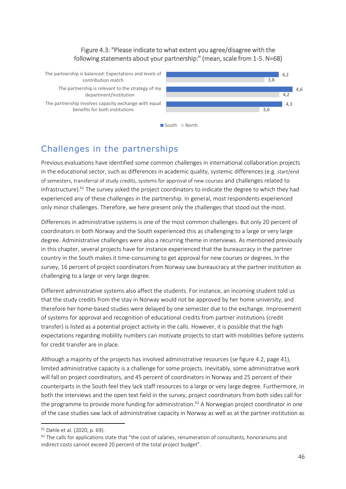### Figure 4.3: "Please indicate to what extent you agree/disagree with the following statements about your partnership:" (mean, scale from 1-5. N=68)

The partnership is balanced: Expectations and levels of contribution match

The partnership is relevant to the strategy of my department/institution

The partnership involves capacity exchange with equal benefits for both institutions





# Challenges in the partnerships

Previous evaluations have identified some common challenges in international collaboration projects in the educational sector, such as differences in academic quality, systemic differences (e.g. start/end of semesters, transferral of study credits, systems for approval of new courses and challenges related to infrastructure).<sup>61</sup> The survey asked the project coordinators to indicate the degree to which they had experienced any of these challenges in the partnership. In general, most respondents experienced only minor challenges. Therefore, we here present only the challenges that stood out the most.

Differences in administrative systems is one of the most common challenges. But only 20 percent of coordinators in both Norway and the South experienced this as challenging to a large or very large degree. Administrative challenges were also a recurring theme in interviews. As mentioned previously in this chapter, several projects have for instance experienced that the bureaucracy in the partner country in the South makes it time-consuming to get approval for new courses or degrees. In the survey, 16 percent of project coordinators from Norway saw bureaucracy at the partner institution as challenging to a large or very large degree.

Different administrative systems also affect the students. For instance, an incoming student told us that the study credits from the stay in Norway would not be approved by her home university, and therefore her home-based studies were delayed by one semester due to the exchange. Improvement of systems for approval and recognition of educational credits from partner institutions (credit transfer) is listed as a potential project activity in the calls. However, it is possible that the high expectations regarding mobility numbers can motivate projects to start with mobilities before systems for credit transfer are in place.

Although a majority of the projects has involved administrative resources (se figure 4.2, page 41), limited administrative capacity is a challenge for some projects. Inevitably, some administrative work will fall on project coordinators, and 45 percent of coordinators in Norway and 25 percent of their counterparts in the South feel they lack staff resources to a large or very large degree. Furthermore, in both the interviews and the open text field in the survey, project coordinators from both sides call for the programme to provide more funding for administration.<sup>62</sup> A Norwegian project coordinator in one of the case studies saw lack of administrative capacity in Norway as well as at the partner institution as

<sup>61</sup> Dahle et al. (2020, p. 69).

 $62$  The calls for applications state that "the cost of salaries, renumeration of consultants, honorariums and indirect costs cannot exceed 20 percent of the total project budget".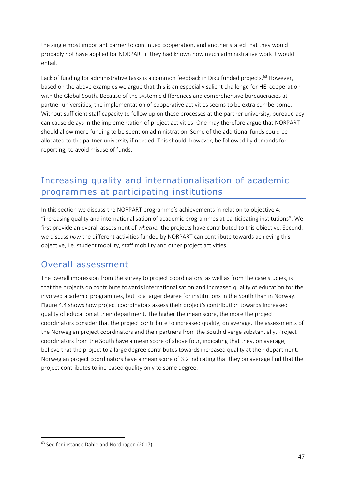the single most important barrier to continued cooperation, and another stated that they would probably not have applied for NORPART if they had known how much administrative work it would entail.

Lack of funding for administrative tasks is a common feedback in Diku funded projects.<sup>63</sup> However, based on the above examples we argue that this is an especially salient challenge for HEI cooperation with the Global South. Because of the systemic differences and comprehensive bureaucracies at partner universities, the implementation of cooperative activities seems to be extra cumbersome. Without sufficient staff capacity to follow up on these processes at the partner university, bureaucracy can cause delays in the implementation of project activities. One may therefore argue that NORPART should allow more funding to be spent on administration. Some of the additional funds could be allocated to the partner university if needed. This should, however, be followed by demands for reporting, to avoid misuse of funds.

# Increasing quality and internationalisation of academic programmes at participating institutions

In this section we discuss the NORPART programme's achievements in relation to objective 4: "increasing quality and internationalisation of academic programmes at participating institutions". We first provide an overall assessment of *whether* the projects have contributed to this objective. Second, we discuss *how* the different activities funded by NORPART can contribute towards achieving this objective, i.e. student mobility, staff mobility and other project activities.

### Overall assessment

The overall impression from the survey to project coordinators, as well as from the case studies, is that the projects do contribute towards internationalisation and increased quality of education for the involved academic programmes, but to a larger degree for institutions in the South than in Norway. Figure 4.4 shows how project coordinators assess their project's contribution towards increased quality of education at their department. The higher the mean score, the more the project coordinators consider that the project contribute to increased quality, on average. The assessments of the Norwegian project coordinators and their partners from the South diverge substantially. Project coordinators from the South have a mean score of above four, indicating that they, on average, believe that the project to a large degree contributes towards increased quality at their department. Norwegian project coordinators have a mean score of 3.2 indicating that they on average find that the project contributes to increased quality only to some degree.

<sup>&</sup>lt;sup>63</sup> See for instance Dahle and Nordhagen (2017).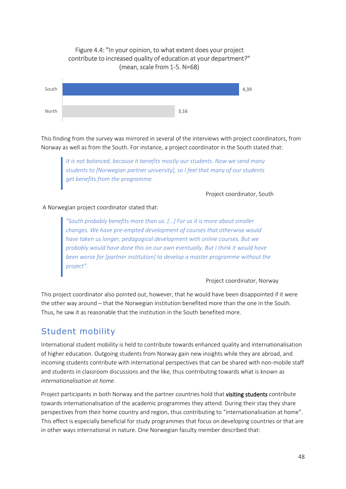### 4,39 South Figure 4.4: "In your opinion, to what extent does your project contribute to increased quality of education at your department?" (mean, scale from 1-5. N=68)



3,16

*It is not balanced, because it benefits mostly our students. Now we send many students to [Norwegian partner university], so I feel that many of our students get benefits from the programme.*

Project coordinator, South

### A Norwegian project coordinator stated that:

North

*"South probably benefits more than us. […] For us it is more about smaller changes. We have pre-empted development of courses that otherwise would have taken us longer, pedagogical development with online courses. But we probably would have done this on our own eventually. But I think it would have been worse for [partner institution] to develop a master programme without the project".* 

#### Project coordinator, Norway

This project coordinator also pointed out, however, that he would have been disappointed if it were the other way around – that the Norwegian institution benefited more than the one in the South. Thus, he saw it as reasonable that the institution in the South benefited more.

### Student mobility

International student mobility is held to contribute towards enhanced quality and internationalisation of higher education. Outgoing students from Norway gain new insights while they are abroad, and incoming students contribute with international perspectives that can be shared with non-mobile staff and students in classroom discussions and the like, thus contributing towards what is known as *internationalisation at home*.

Project participants in both Norway and the partner countries hold that visiting students contribute towards internationalisation of the academic programmes they attend. During their stay they share perspectives from their home country and region, thus contributing to "internationalisation at home". This effect is especially beneficial for study programmes that focus on developing countries or that are in other ways international in nature. One Norwegian faculty member described that: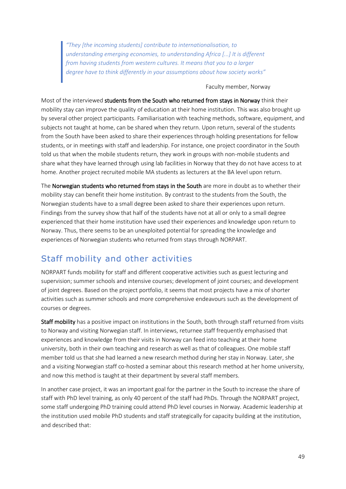*"They [the incoming students] contribute to internationalisation, to understanding emerging economies, to understanding Africa [...] It is different from having students from western cultures. It means that you to a larger degree have to think differently in your assumptions about how society works"*

#### Faculty member, Norway

Most of the interviewed students from the South who returned from stays in Norway think their mobility stay can improve the quality of education at their home institution. This was also brought up by several other project participants. Familiarisation with teaching methods, software, equipment, and subjects not taught at home, can be shared when they return. Upon return, several of the students from the South have been asked to share their experiences through holding presentations for fellow students, or in meetings with staff and leadership. For instance, one project coordinator in the South told us that when the mobile students return, they work in groups with non-mobile students and share what they have learned through using lab facilities in Norway that they do not have access to at home. Another project recruited mobile MA students as lecturers at the BA level upon return.

The Norwegian students who returned from stays in the South are more in doubt as to whether their mobility stay can benefit their home institution. By contrast to the students from the South, the Norwegian students have to a small degree been asked to share their experiences upon return. Findings from the survey show that half of the students have not at all or only to a small degree experienced that their home institution have used their experiences and knowledge upon return to Norway. Thus, there seems to be an unexploited potential for spreading the knowledge and experiences of Norwegian students who returned from stays through NORPART.

### Staff mobility and other activities

NORPART funds mobility for staff and different cooperative activities such as guest lecturing and supervision; summer schools and intensive courses; development of joint courses; and development of joint degrees. Based on the project portfolio, it seems that most projects have a mix of shorter activities such as summer schools and more comprehensive endeavours such as the development of courses or degrees.

Staff mobility has a positive impact on institutions in the South, both through staff returned from visits to Norway and visiting Norwegian staff. In interviews, returnee staff frequently emphasised that experiences and knowledge from their visits in Norway can feed into teaching at their home university, both in their own teaching and research as well as that of colleagues. One mobile staff member told us that she had learned a new research method during her stay in Norway. Later, she and a visiting Norwegian staff co-hosted a seminar about this research method at her home university, and now this method is taught at their department by several staff members.

In another case project, it was an important goal for the partner in the South to increase the share of staff with PhD level training, as only 40 percent of the staff had PhDs. Through the NORPART project, some staff undergoing PhD training could attend PhD level courses in Norway. Academic leadership at the institution used mobile PhD students and staff strategically for capacity building at the institution, and described that: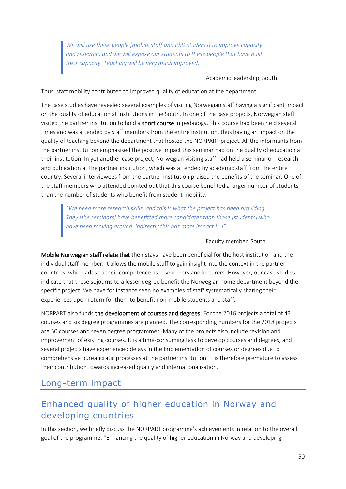*We will use these people [mobile staff and PhD students] to improve capacity and research, and we will expose our students to these people that have built their capacity. Teaching will be very much improved.*

#### Academic leadership, South

Thus, staff mobility contributed to improved quality of education at the department.

The case studies have revealed several examples of visiting Norwegian staff having a significant impact on the quality of education at institutions in the South. In one of the case projects, Norwegian staff visited the partner institution to hold a short course in pedagogy. This course had been held several times and was attended by staff members from the entire institution, thus having an impact on the quality of teaching beyond the department that hosted the NORPART project. All the informants from the partner institution emphasised the positive impact this seminar had on the quality of education at their institution. In yet another case project, Norwegian visiting staff had held a seminar on research and publication at the partner institution, which was attended by academic staff from the entire country. Several interviewees from the partner institution praised the benefits of the seminar. One of the staff members who attended pointed out that this course benefited a larger number of students than the number of students who benefit from student mobility:

*"We need more research skills, and this is what the project has been providing. They [the seminars] have benefitted more candidates than those [students] who have been moving around. Indirectly this has more impact […]"*

#### Faculty member, South

Mobile Norwegian staff relate that their stays have been beneficial for the host institution and the individual staff member. It allows the mobile staff to gain insight into the context in the partner countries, which adds to their competence as researchers and lecturers. However, our case studies indicate that these sojourns to a lesser degree benefit the Norwegian home department beyond the specific project. We have for instance seen no examples of staff systematically sharing their experiences upon return for them to benefit non-mobile students and staff.

NORPART also funds the development of courses and degrees. For the 2016 projects a total of 43 courses and six degree programmes are planned. The corresponding numbers for the 2018 projects are 50 courses and seven degree programmes. Many of the projects also include revision and improvement of existing courses. It is a time-consuming task to develop courses and degrees, and several projects have experienced delays in the implementation of courses or degrees due to comprehensive bureaucratic processes at the partner institution. It is therefore premature to assess their contribution towards increased quality and internationalisation.

### Long-term impact

### Enhanced quality of higher education in Norway and developing countries

In this section, we briefly discuss the NORPART programme's achievements in relation to the overall goal of the programme: "Enhancing the quality of higher education in Norway and developing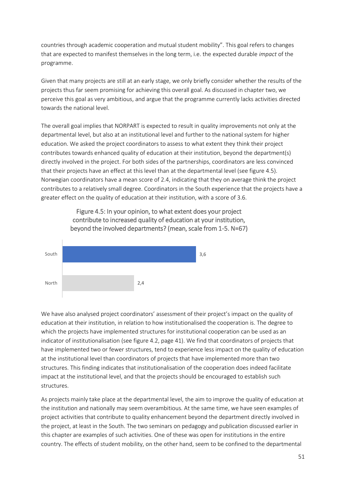countries through academic cooperation and mutual student mobility". This goal refers to changes that are expected to manifest themselves in the long term, i.e. the expected durable *impact* of the programme.

Given that many projects are still at an early stage, we only briefly consider whether the results of the projects thus far seem promising for achieving this overall goal. As discussed in chapter two, we perceive this goal as very ambitious, and argue that the programme currently lacks activities directed towards the national level.

The overall goal implies that NORPART is expected to result in quality improvements not only at the departmental level, but also at an institutional level and further to the national system for higher education. We asked the project coordinators to assess to what extent they think their project contributes towards enhanced quality of education at their institution, beyond the department(s) directly involved in the project. For both sides of the partnerships, coordinators are less convinced that their projects have an effect at this level than at the departmental level (see figure 4.5). Norwegian coordinators have a mean score of 2.4, indicating that they on average think the project contributes to a relatively small degree. Coordinators in the South experience that the projects have a greater effect on the quality of education at their institution, with a score of 3.6.



Figure 4.5: In your opinion, to what extent does your project contribute to increased quality of education at your institution, beyond the involved departments? (mean, scale from 1-5. N=67)

We have also analysed project coordinators' assessment of their project's impact on the quality of education at their institution, in relation to how institutionalised the cooperation is. The degree to which the projects have implemented structures for institutional cooperation can be used as an indicator of institutionalisation (see figure 4.2, page 41). We find that coordinators of projects that have implemented two or fewer structures, tend to experience less impact on the quality of education at the institutional level than coordinators of projects that have implemented more than two structures. This finding indicates that institutionalisation of the cooperation does indeed facilitate impact at the institutional level, and that the projects should be encouraged to establish such structures.

As projects mainly take place at the departmental level, the aim to improve the quality of education at the institution and nationally may seem overambitious. At the same time, we have seen examples of project activities that contribute to quality enhancement beyond the department directly involved in the project, at least in the South. The two seminars on pedagogy and publication discussed earlier in this chapter are examples of such activities. One of these was open for institutions in the entire country. The effects of student mobility, on the other hand, seem to be confined to the departmental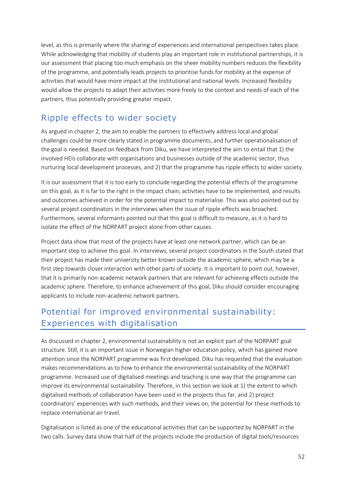level, as this is primarily where the sharing of experiences and international perspectives takes place. While acknowledging that mobility of students play an important role in institutional partnerships, it is our assessment that placing too much emphasis on the sheer mobility numbers reduces the flexibility of the programme, and potentially leads projects to prioritise funds for mobility at the expense of activities that would have more impact at the institutional and national levels. Increased flexibility would allow the projects to adapt their activities more freely to the context and needs of each of the partners, thus potentially providing greater impact.

### Ripple effects to wider society

As argued in chapter 2, the aim to enable the partners to effectively address local and global challenges could be more clearly stated in programme documents, and further operationalisation of the goal is needed. Based on feedback from Diku, we have interpreted the aim to entail that 1) the involved HEIs collaborate with organisations and businesses outside of the academic sector, thus nurturing local development processes, and 2) that the programme has ripple effects to wider society.

It is our assessment that it is too early to conclude regarding the potential effects of the programme on this goal, as it is far to the right in the impact chain; activities have to be implemented, and results and outcomes achieved in order for the potential impact to materialise. This was also pointed out by several project coordinators in the interviews when the issue of ripple effects was broached. Furthermore, several informants pointed out that this goal is difficult to measure, as it is hard to isolate the effect of the NORPART project alone from other causes.

Project data show that most of the projects have at least one network partner, which can be an important step to achieve this goal. In interviews, several project coordinators in the South stated that their project has made their university better known outside the academic sphere, which may be a first step towards closer interaction with other parts of society. It is important to point out, however, that it is primarily non-academic network partners that are relevant for achieving effects outside the academic sphere. Therefore, to enhance achievement of this goal, Diku should consider encouraging applicants to include non-academic network partners.

### Potential for improved environmental sustainability: Experiences with digitalisation

As discussed in chapter 2, environmental sustainability is not an explicit part of the NORPART goal structure. Still, it is an important issue in Norwegian higher education policy, which has gained more attention since the NORPART programme was first developed. Diku has requested that the evaluation makes recommendations as to how to enhance the environmental sustainability of the NORPART programme. Increased use of digitalised meetings and teaching is one way that the programme can improve its environmental sustainability. Therefore, in this section we look at 1) the extent to which digitalised methods of collaboration have been used in the projects thus far, and 2) project coordinators' experiences with such methods, and their views on, the potential for these methods to replace international air travel.

Digitalisation is listed as one of the educational activities that can be supported by NORPART in the two calls. Survey data show that half of the projects include the production of digital tools/resources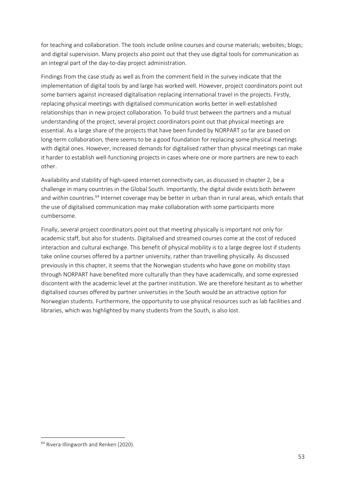for teaching and collaboration. The tools include online courses and course materials; websites; blogs; and digital supervision. Many projects also point out that they use digital tools for communication as an integral part of the day-to-day project administration.

Findings from the case study as well as from the comment field in the survey indicate that the implementation of digital tools by and large has worked well. However, project coordinators point out some barriers against increased digitalisation replacing international travel in the projects. Firstly, replacing physical meetings with digitalised communication works better in well-established relationships than in new project collaboration. To build trust between the partners and a mutual understanding of the project, several project coordinators point out that physical meetings are essential. As a large share of the projects that have been funded by NORPART so far are based on long-term collaboration, there seems to be a good foundation for replacing some physical meetings with digital ones. However, increased demands for digitalised rather than physical meetings can make it harder to establish well-functioning projects in cases where one or more partners are new to each other.

Availability and stability of high-speed internet connectivity can, as discussed in chapter 2, be a challenge in many countries in the Global South. Importantly, the digital divide exists both *between* and within countries.<sup>64</sup> Internet coverage may be better in urban than in rural areas, which entails that the use of digitalised communication may make collaboration with some participants more cumbersome.

Finally, several project coordinators point out that meeting physically is important not only for academic staff, but also for students. Digitalised and streamed courses come at the cost of reduced interaction and cultural exchange. This benefit of physical mobility is to a large degree lost if students take online courses offered by a partner university, rather than travelling physically. As discussed previously in this chapter, it seems that the Norwegian students who have gone on mobility stays through NORPART have benefited more culturally than they have academically, and some expressed discontent with the academic level at the partner institution. We are therefore hesitant as to whether digitalised courses offered by partner universities in the South would be an attractive option for Norwegian students. Furthermore, the opportunity to use physical resources such as lab facilities and libraries, which was highlighted by many students from the South, is also lost.

<sup>&</sup>lt;sup>64</sup> Rivera-Illingworth and Renken (2020).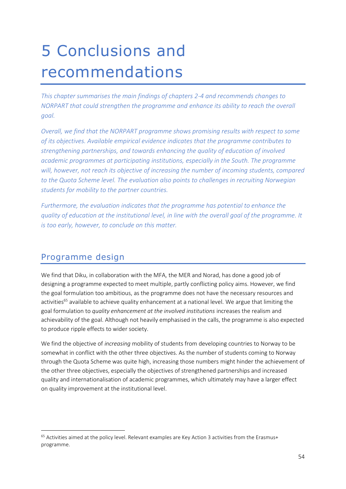# 5 Conclusions and recommendations

*This chapter summarises the main findings of chapters 2-4 and recommends changes to NORPART that could strengthen the programme and enhance its ability to reach the overall goal.*

*Overall, we find that the NORPART programme shows promising results with respect to some of its objectives. Available empirical evidence indicates that the programme contributes to strengthening partnerships, and towards enhancing the quality of education of involved academic programmes at participating institutions, especially in the South. The programme will, however, not reach its objective of increasing the number of incoming students, compared to the Quota Scheme level. The evaluation also points to challenges in recruiting Norwegian students for mobility to the partner countries.*

*Furthermore, the evaluation indicates that the programme has potential to enhance the quality of education at the institutional level, in line with the overall goal of the programme. It is too early, however, to conclude on this matter.*

### Programme design

We find that Diku, in collaboration with the MFA, the MER and Norad, has done a good job of designing a programme expected to meet multiple, partly conflicting policy aims. However, we find the goal formulation too ambitious, as the programme does not have the necessary resources and activities<sup>65</sup> available to achieve quality enhancement at a national level. We argue that limiting the goal formulation to *quality enhancement at the involved institutions* increases the realism and achievability of the goal. Although not heavily emphasised in the calls, the programme is also expected to produce ripple effects to wider society.

We find the objective of *increasing* mobility of students from developing countries to Norway to be somewhat in conflict with the other three objectives. As the number of students coming to Norway through the Quota Scheme was quite high, increasing those numbers might hinder the achievement of the other three objectives, especially the objectives of strengthened partnerships and increased quality and internationalisation of academic programmes, which ultimately may have a larger effect on quality improvement at the institutional level.

<sup>&</sup>lt;sup>65</sup> Activities aimed at the policy level. Relevant examples are Key Action 3 activities from the Erasmus+ programme.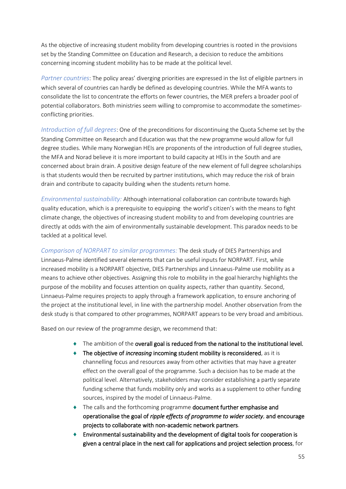As the objective of increasing student mobility from developing countries is rooted in the provisions set by the Standing Committee on Education and Research, a decision to reduce the ambitions concerning incoming student mobility has to be made at the political level.

*Partner countries*: The policy areas' diverging priorities are expressed in the list of eligible partners in which several of countries can hardly be defined as developing countries. While the MFA wants to consolidate the list to concentrate the efforts on fewer countries, the MER prefers a broader pool of potential collaborators. Both ministries seem willing to compromise to accommodate the sometimesconflicting priorities.

*Introduction of full degrees*: One of the preconditions for discontinuing the Quota Scheme set by the Standing Committee on Research and Education was that the new programme would allow for full degree studies. While many Norwegian HEIs are proponents of the introduction of full degree studies, the MFA and Norad believe it is more important to build capacity at HEIs in the South and are concerned about brain drain. A positive design feature of the new element of full degree scholarships is that students would then be recruited by partner institutions, which may reduce the risk of brain drain and contribute to capacity building when the students return home.

*Environmental sustainability:* Although international collaboration can contribute towards high quality education, which is a prerequisite to equipping the world's citizen's with the means to fight climate change, the objectives of increasing student mobility to and from developing countries are directly at odds with the aim of environmentally sustainable development. This paradox needs to be tackled at a political level.

*Comparison of NORPART to similar programmes:* The desk study of DIES Partnerships and Linnaeus-Palme identified several elements that can be useful inputs for NORPART. First, while increased mobility is a NORPART objective, DIES Partnerships and Linnaeus-Palme use mobility as a means to achieve other objectives. Assigning this role to mobility in the goal hierarchy highlights the purpose of the mobility and focuses attention on quality aspects, rather than quantity. Second, Linnaeus-Palme requires projects to apply through a framework application, to ensure anchoring of the project at the institutional level, in line with the partnership model. Another observation from the desk study is that compared to other programmes, NORPART appears to be very broad and ambitious.

Based on our review of the programme design, we recommend that:

- $\bullet$  The ambition of the overall goal is reduced from the national to the institutional level.
- ◆ The objective of *increasing* incoming student mobility is reconsidered, as it is channelling focus and resources away from other activities that may have a greater effect on the overall goal of the programme. Such a decision has to be made at the political level. Alternatively, stakeholders may consider establishing a partly separate funding scheme that funds mobility only and works as a supplement to other funding sources, inspired by the model of Linnaeus-Palme.
- ◆ The calls and the forthcoming programme document further emphasise and operationalise the goal of *ripple effects of programme to wider society*, and encourage projects to collaborate with non-academic network partners.
- Environmental sustainability and the development of digital tools for cooperation is given a central place in the next call for applications and project selection process, for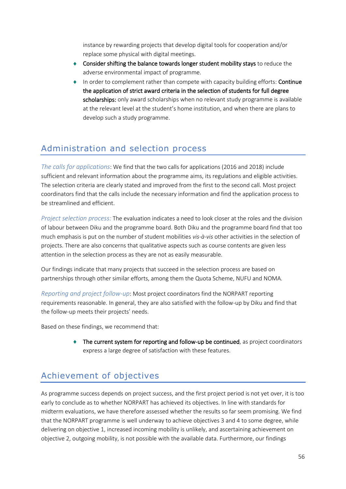instance by rewarding projects that develop digital tools for cooperation and/or replace some physical with digital meetings.

- **Consider shifting the balance towards longer student mobility stays** to reduce the adverse environmental impact of programme.
- In order to complement rather than compete with capacity building efforts: Continue the application of strict award criteria in the selection of students for full degree scholarships: only award scholarships when no relevant study programme is available at the relevant level at the student's home institution, and when there are plans to develop such a study programme.

### Administration and selection process

*The calls for applications*: We find that the two calls for applications (2016 and 2018) include sufficient and relevant information about the programme aims, its regulations and eligible activities. The selection criteria are clearly stated and improved from the first to the second call. Most project coordinators find that the calls include the necessary information and find the application process to be streamlined and efficient.

*Project selection process:* The evaluation indicates a need to look closer at the roles and the division of labour between Diku and the programme board. Both Diku and the programme board find that too much emphasis is put on the number of student mobilities *vis-à-vis* other activities in the selection of projects. There are also concerns that qualitative aspects such as course contents are given less attention in the selection process as they are not as easily measurable.

Our findings indicate that many projects that succeed in the selection process are based on partnerships through other similar efforts, among them the Quota Scheme, NUFU and NOMA.

*Reporting and project follow-up*: Most project coordinators find the NORPART reporting requirements reasonable. In general, they are also satisfied with the follow-up by Diku and find that the follow-up meets their projects' needs.

Based on these findings, we recommend that:

 $\bullet$  The current system for reporting and follow-up be continued, as project coordinators express a large degree of satisfaction with these features.

# Achievement of objectives

As programme success depends on project success, and the first project period is not yet over, it is too early to conclude as to whether NORPART has achieved its objectives. In line with standards for midterm evaluations, we have therefore assessed whether the results so far seem promising. We find that the NORPART programme is well underway to achieve objectives 3 and 4 to some degree, while delivering on objective 1, increased incoming mobility is unlikely, and ascertaining achievement on objective 2, outgoing mobility, is not possible with the available data. Furthermore, our findings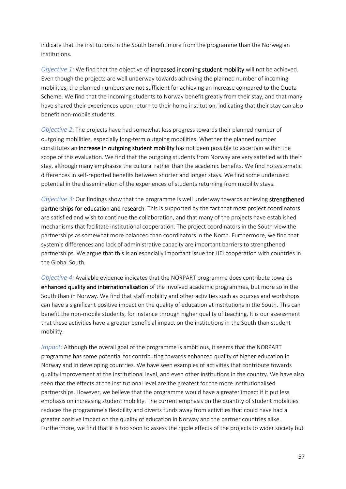indicate that the institutions in the South benefit more from the programme than the Norwegian institutions.

*Objective 1:* We find that the objective of increased incoming student mobility will not be achieved. Even though the projects are well underway towards achieving the planned number of incoming mobilities, the planned numbers are not sufficient for achieving an increase compared to the Quota Scheme. We find that the incoming students to Norway benefit greatly from their stay, and that many have shared their experiences upon return to their home institution, indicating that their stay can also benefit non-mobile students.

*Objective 2*: The projects have had somewhat less progress towards their planned number of outgoing mobilities, especially long-term outgoing mobilities. Whether the planned number constitutes an increase in outgoing student mobility has not been possible to ascertain within the scope of this evaluation. We find that the outgoing students from Norway are very satisfied with their stay, although many emphasise the cultural rather than the academic benefits. We find no systematic differences in self-reported benefits between shorter and longer stays. We find some underused potential in the dissemination of the experiences of students returning from mobility stays.

*Objective 3:* Our findings show that the programme is well underway towards achieving strengthened partnerships for education and research. This is supported by the fact that most project coordinators are satisfied and wish to continue the collaboration, and that many of the projects have established mechanisms that facilitate institutional cooperation. The project coordinators in the South view the partnerships as somewhat more balanced than coordinators in the North. Furthermore, we find that systemic differences and lack of administrative capacity are important barriers to strengthened partnerships. We argue that this is an especially important issue for HEI cooperation with countries in the Global South.

*Objective 4:* Available evidence indicates that the NORPART programme does contribute towards enhanced quality and internationalisation of the involved academic programmes, but more so in the South than in Norway. We find that staff mobility and other activities such as courses and workshops can have a significant positive impact on the quality of education at institutions in the South. This can benefit the non-mobile students, for instance through higher quality of teaching. It is our assessment that these activities have a greater beneficial impact on the institutions in the South than student mobility.

*Impact:* Although the overall goal of the programme is ambitious, it seems that the NORPART programme has some potential for contributing towards enhanced quality of higher education in Norway and in developing countries. We have seen examples of activities that contribute towards quality improvement at the institutional level, and even other institutions in the country. We have also seen that the effects at the institutional level are the greatest for the more institutionalised partnerships. However, we believe that the programme would have a greater impact if it put less emphasis on increasing student mobility. The current emphasis on the quantity of student mobilities reduces the programme's flexibility and diverts funds away from activities that could have had a greater positive impact on the quality of education in Norway and the partner countries alike. Furthermore, we find that it is too soon to assess the ripple effects of the projects to wider society but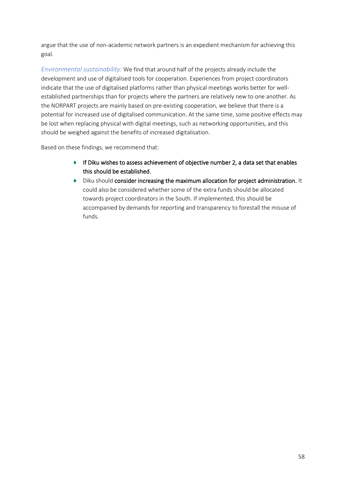argue that the use of non-academic network partners is an expedient mechanism for achieving this goal.

*Environmental sustainability:* We find that around half of the projects already include the development and use of digitalised tools for cooperation. Experiences from project coordinators indicate that the use of digitalised platforms rather than physical meetings works better for wellestablished partnerships than for projects where the partners are relatively new to one another. As the NORPART projects are mainly based on pre-existing cooperation, we believe that there is a potential for increased use of digitalised communication. At the same time, some positive effects may be lost when replacing physical with digital meetings, such as networking opportunities, and this should be weighed against the benefits of increased digitalisation.

Based on these findings, we recommend that:

- $\bullet$  If Diku wishes to assess achievement of objective number 2, a data set that enables this should be established.
- Diku should consider increasing the maximum allocation for project administration. It could also be considered whether some of the extra funds should be allocated towards project coordinators in the South. If implemented, this should be accompanied by demands for reporting and transparency to forestall the misuse of funds.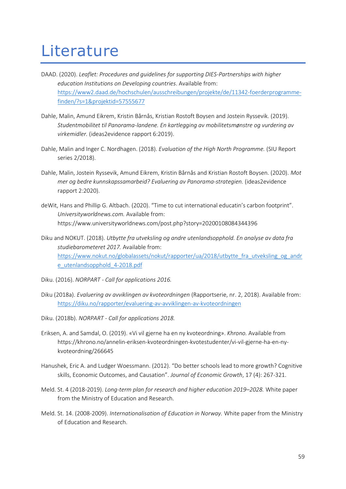# **Literature**

- DAAD. (2020). *Leaflet: Procedures and guidelines for supporting DIES-Partnerships with higher education Institutions on Developing countries*. Available from: [https://www2.daad.de/hochschulen/ausschreibungen/projekte/de/11342-foerderprogramme](https://www2.daad.de/hochschulen/ausschreibungen/projekte/de/11342-foerderprogramme-finden/?s=1&projektid=57555677)[finden/?s=1&projektid=57555677](https://www2.daad.de/hochschulen/ausschreibungen/projekte/de/11342-foerderprogramme-finden/?s=1&projektid=57555677)
- Dahle, Malin, Amund Eikrem, Kristin Bårnås, Kristian Rostoft Boysen and Jostein Ryssevik. (2019). *Studentmobilitet til Panorama-landene. En kartlegging av mobilitetsmønstre og vurdering av virkemidler.* (ideas2evidence rapport 6:2019).
- Dahle, Malin and Inger C. Nordhagen. (2018). *Evaluation of the High North Programme.* (SIU Report series 2/2018).
- Dahle, Malin, Jostein Ryssevik, Amund Eikrem, Kristin Bårnås and Kristian Rostoft Boysen. (2020). *Mot mer og bedre kunnskapssamarbeid? Evaluering av Panorama-strategien.* (ideas2evidence rapport 2:2020).
- deWit, Hans and Phillip G. Altbach. (2020). "Time to cut international educatin's carbon footprint". *Universityworldnews.com.* Available from: https://www.universityworldnews.com/post.php?story=20200108084344396
- Diku and NOKUT. (2018). *Utbytte fra utveksling og andre utenlandsopphold. En analyse av data fra studiebarometeret 2017.* Available from: https://www.nokut.no/globalassets/nokut/rapporter/ua/2018/utbytte fra utveksling og andr [e\\_utenlandsopphold\\_4-2018.pdf](https://www.nokut.no/globalassets/nokut/rapporter/ua/2018/utbytte_fra_utveksling_og_andre_utenlandsopphold_4-2018.pdf)
- Diku. (2016). *NORPART - Call for applications 2016.*
- Diku (2018a). *Evaluering av avviklingen av kvoteordningen* (Rapportserie, nr. 2, 2018). Available from: <https://diku.no/rapporter/evaluering-av-avviklingen-av-kvoteordningen>
- Diku. (2018b). *NORPART - Call for applications 2018.*
- Eriksen, A. and Samdal, O. (2019). «Vi vil gjerne ha en ny kvoteordning». *Khrono.* Available from https://khrono.no/annelin-eriksen-kvoteordningen-kvotestudenter/vi-vil-gjerne-ha-en-nykvoteordning/266645
- Hanushek, Eric A. and Ludger Woessmann. (2012). "Do better schools lead to more growth? Cognitive skills, Economic Outcomes, and Causation". *Journal of Economic Growth*, 17 (4): 267-321.
- Meld. St. 4 (2018-2019). *Long-term plan for research and higher education 2019–2028.* White paper from the Ministry of Education and Research.
- Meld. St. 14. (2008-2009). *Internationalisation of Education in Norway.* White paper from the Ministry of Education and Research.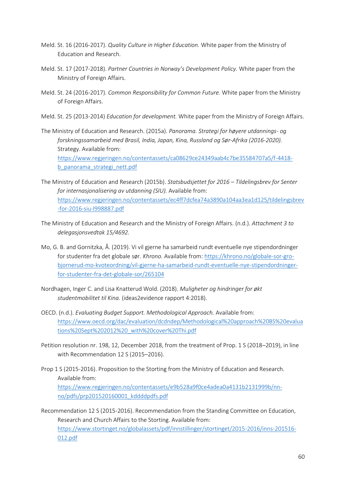- Meld. St. 16 (2016-2017). *Quality Culture in Higher Education.* White paper from the Ministry of Education and Research.
- Meld. St. 17 (2017-2018). *Partner Countries in Norway's Development Policy.* White paper from the Ministry of Foreign Affairs.
- Meld. St. 24 (2016-2017). *Common Responsibility for Common Future.* White paper from the Ministry of Foreign Affairs.
- Meld. St. 25 (2013-2014) *Education for development.* White paper from the Ministry of Foreign Affairs.
- The Ministry of Education and Research. (2015a). *Panorama. Strategi for høyere utdannings- og forskningssamarbeid med Brasil, India, Japan, Kina, Russland og Sør-Afrika (2016-2020).*  Strategy. Available from: [https://www.regjeringen.no/contentassets/ca08629ce24349aab4c7be35584707a5/f-4418](https://www.regjeringen.no/contentassets/ca08629ce24349aab4c7be35584707a5/f-4418-b_panorama_strategi_nett.pdf) [b\\_panorama\\_strategi\\_nett.pdf](https://www.regjeringen.no/contentassets/ca08629ce24349aab4c7be35584707a5/f-4418-b_panorama_strategi_nett.pdf)
- The Ministry of Education and Research (2015b). *Statsbudsjettet for 2016 – Tildelingsbrev for Senter for internasjonalisering av utdanning (SIU).* Available from: [https://www.regjeringen.no/contentassets/ec4ff7dcfea74a3890a104aa3ea1d125/tildelingsbrev](https://www.regjeringen.no/contentassets/ec4ff7dcfea74a3890a104aa3ea1d125/tildelingsbrev-for-2016-siu-l998887.pdf) [-for-2016-siu-l998887.pdf](https://www.regjeringen.no/contentassets/ec4ff7dcfea74a3890a104aa3ea1d125/tildelingsbrev-for-2016-siu-l998887.pdf)
- The Ministry of Education and Research and the Ministry of Foreign Affairs. (n.d.). *Attachment 3 to delegasjonsvedtak 15/4692.*
- Mo, G. B. and Gornitzka, Å. (2019). Vi vil gjerne ha samarbeid rundt eventuelle nye stipendordninger for studenter fra det globale sør. *Khrono.* Available from[: https://khrono.no/globale-sor-gro](https://khrono.no/globale-sor-gro-bjornerud-mo-kvoteordning/vil-gjerne-ha-samarbeid-rundt-eventuelle-nye-stipendordninger-for-studenter-fra-det-globale-sor/265104)[bjornerud-mo-kvoteordning/vil-gjerne-ha-samarbeid-rundt-eventuelle-nye-stipendordninger](https://khrono.no/globale-sor-gro-bjornerud-mo-kvoteordning/vil-gjerne-ha-samarbeid-rundt-eventuelle-nye-stipendordninger-for-studenter-fra-det-globale-sor/265104)[for-studenter-fra-det-globale-sor/265104](https://khrono.no/globale-sor-gro-bjornerud-mo-kvoteordning/vil-gjerne-ha-samarbeid-rundt-eventuelle-nye-stipendordninger-for-studenter-fra-det-globale-sor/265104)
- Nordhagen, Inger C. and Lisa Knatterud Wold. (2018). *Muligheter og hindringer for økt studentmobilitet til Kina.* (ideas2evidence rapport 4:2018).
- OECD. (n.d.). *Evaluating Budget Support. Methodological Approach.* Available from: [https://www.oecd.org/dac/evaluation/dcdndep/Methodological%20approach%20BS%20evalua](https://www.oecd.org/dac/evaluation/dcdndep/Methodological%20approach%20BS%20evaluations%20Sept%202012%20_with%20cover%20Thi.pdf) [tions%20Sept%202012%20\\_with%20cover%20Thi.pdf](https://www.oecd.org/dac/evaluation/dcdndep/Methodological%20approach%20BS%20evaluations%20Sept%202012%20_with%20cover%20Thi.pdf)
- Petition resolution nr. 198, 12, December 2018, from the treatment of Prop. 1 S (2018–2019), in line with Recommendation 12 S (2015–2016).
- Prop 1 S (2015-2016). Proposition to the Storting from the Ministry of Education and Research. Available from: [https://www.regjeringen.no/contentassets/e9b528a9f0ce4adea0a4131b2131999b/nn](https://www.regjeringen.no/contentassets/e9b528a9f0ce4adea0a4131b2131999b/nn-no/pdfs/prp201520160001_kddddpdfs.pdf)[no/pdfs/prp201520160001\\_kddddpdfs.pdf](https://www.regjeringen.no/contentassets/e9b528a9f0ce4adea0a4131b2131999b/nn-no/pdfs/prp201520160001_kddddpdfs.pdf)
- Recommendation 12 S (2015-2016). Recommendation from the Standing Committee on Education, Research and Church Affairs to the Storting. Available from: [https://www.stortinget.no/globalassets/pdf/innstillinger/stortinget/2015-2016/inns-201516-](https://www.stortinget.no/globalassets/pdf/innstillinger/stortinget/2015-2016/inns-201516-012.pdf) [012.pdf](https://www.stortinget.no/globalassets/pdf/innstillinger/stortinget/2015-2016/inns-201516-012.pdf)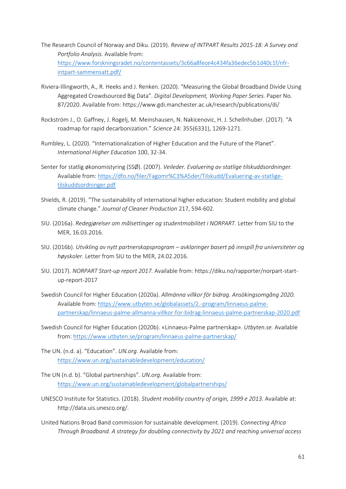- The Research Council of Norway and Diku. (2019). *Review of INTPART Results 2015-18: A Survey and Portfolio Analysis.* Available from: [https://www.forskningsradet.no/contentassets/3c66a8fece4c434fa36edec5b1d40c1f/nfr](https://www.forskningsradet.no/contentassets/3c66a8fece4c434fa36edec5b1d40c1f/nfr-intpart-sammensatt.pdf/)[intpart-sammensatt.pdf/](https://www.forskningsradet.no/contentassets/3c66a8fece4c434fa36edec5b1d40c1f/nfr-intpart-sammensatt.pdf/)
- Riviera-Illingworth, A., R. Heeks and J. Renken. (2020). "Measuring the Global Broadband Divide Using Aggregated Crowdsourced Big Data". *Digital Development, Working Paper Series.* Paper No. 87/2020. Available from: https://www.gdi.manchester.ac.uk/research/publications/di/
- Rockström J., O. Gaffney, J. Rogelj, M. Meinshausen, N. Nakicenovic, H. J. Schellnhuber. (2017). "A roadmap for rapid decarbonization." *Science* 24: 355(6331), 1269-1271.
- Rumbley, L. (2020). "Internationalization of Higher Education and the Future of the Planet". *International Higher Education* 100, 32-34.
- Senter for statlig økonomistyring (SSØ). (2007). *Veileder. Evaluering av statlige tilskuddsordninger.*  Available from: [https://dfo.no/filer/Fagomr%C3%A5der/Tilskudd/Evaluering-av-statlige](https://dfo.no/filer/Fagomr%C3%A5der/Tilskudd/Evaluering-av-statlige-tilskuddsordninger.pdf)[tilskuddsordninger.pdf](https://dfo.no/filer/Fagomr%C3%A5der/Tilskudd/Evaluering-av-statlige-tilskuddsordninger.pdf)
- Shields, R. (2019). "The sustainability of international higher education: Student mobility and global climate change." *Journal of Cleaner Production* 217, 594-602.
- SIU. (2016a). *Redegjørelser om målsettinger og studentmobilitet i NORPART.* Letter from SIU to the MER, 16.03.2016.
- SIU. (2016b). *Utvikling av nytt partnerskapsprogram – avklaringer basert på innspill fra universiteter og høyskoler.* Letter from SIU to the MER, 24.02.2016.
- SIU. (2017). *NORPART Start-up report 2017.* Available from: https://diku.no/rapporter/norpart-startup-report-2017
- Swedish Council for Higher Education (2020a). *Allmänna villkor för bidrag. Ansökingsomgång 2020.*  Available from: [https://www.utbyten.se/globalassets/2.-program/linnaeus-palme](https://www.utbyten.se/globalassets/2.-program/linnaeus-palme-partnerskap/linnaeus-palme-allmanna-villkor-for-bidrag-linnaeus-palme-partnerskap-2020.pdf)[partnerskap/linnaeus-palme-allmanna-villkor-for-bidrag-linnaeus-palme-partnerskap-2020.pdf](https://www.utbyten.se/globalassets/2.-program/linnaeus-palme-partnerskap/linnaeus-palme-allmanna-villkor-for-bidrag-linnaeus-palme-partnerskap-2020.pdf)
- Swedish Council for Higher Education (2020b). «Linnaeus-Palme partnerskap». *Utbyten.se.* Available from:<https://www.utbyten.se/program/linnaeus-palme-partnerskap/>
- The UN. (n.d. a). "Education". *UN.org.* Available from: <https://www.un.org/sustainabledevelopment/education/>
- The UN (n.d. b). "Global partnerships". *UN.org.* Available from: <https://www.un.org/sustainabledevelopment/globalpartnerships/>
- UNESCO Institute for Statistics. (2018). *Student mobility country of origin, 1999 e 2013.* Available at: http://data.uis.unesco.org/.
- United Nations Broad Band commission for sustainable development. (2019). *Connecting Africa Through Broadband. A strategy for doubling connectivity by 2021 and reaching universal access*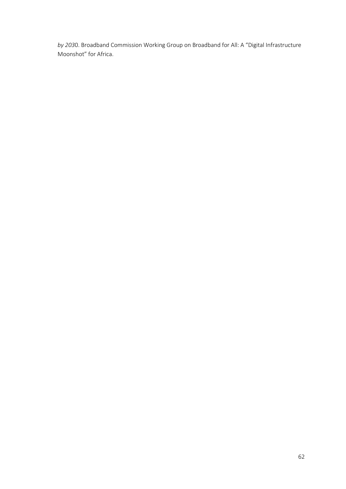*by 203*0. Broadband Commission Working Group on Broadband for All: A "Digital Infrastructure Moonshot" for Africa.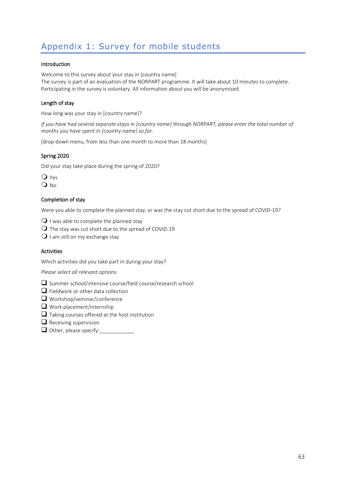# Appendix 1: Survey for mobile students

#### Introduction

Welcome to this survey about your stay in [country name] The survey is part of an evaluation of the NORPART programme. It will take about 10 minutes to complete. Participating in the survey is voluntary. All information about you will be anonymised.

#### Length of stay

How long was your stay in [country name]?

*If you have had several separate stays in [country name] through NORPART, please enter the total number of months you have spent in [country name] so far.*

[drop-down menu, from less than one month to more than 18 months]

#### Spring 2020

Did your stay take place during the spring of 2020?

**O** Yes  $Q$  No

#### Completion of stay

Were you able to complete the planned stay, or was the stay cut short due to the spread of COVID-19?

 $\mathbf{Q}$  I was able to complete the planned stay

- $\bigcirc$  The stay was cut short due to the spread of COVID-19
- $\mathsf O$  I am still on my exchange stay

#### Activities

Which activities did you take part in during your stay?

*Please select all relevant options.*

- ❑ Summer school/intensive course/field course/research school
- ❑ Fieldwork or other data collection
- ❑ Workshop/seminar/conference
- ❑ Work placement/internship
- ❑ Taking courses offered at the host institution
- $\Box$  Receiving supervision
- $\Box$  Other, please specify: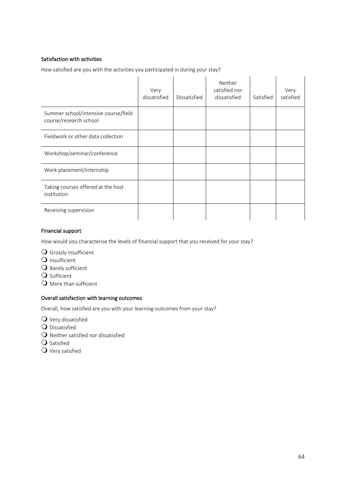### Satisfaction with activities

How satisfied are you with the activities you participated in during your stay?

|                                                                | Very<br>dissatisfied | Dissatisfied | Neither<br>satisfied nor<br>dissatisfied | Satisfied | Very<br>satisfied |
|----------------------------------------------------------------|----------------------|--------------|------------------------------------------|-----------|-------------------|
| Summer school/intensive course/field<br>course/research school |                      |              |                                          |           |                   |
| Fieldwork or other data collection                             |                      |              |                                          |           |                   |
| Workshop/seminar/conference                                    |                      |              |                                          |           |                   |
| Work placement/internship                                      |                      |              |                                          |           |                   |
| Taking courses offered at the host<br>institution              |                      |              |                                          |           |                   |
| Receiving supervision                                          |                      |              |                                          |           |                   |

#### Financial support

How would you characterise the levels of financial support that you received for your stay?

- Grossly insufficient
- Q Insufficient
- $\mathbf O$  Barely sufficient
- Q Sufficient
- $\Omega$  More than sufficient

### Overall satisfaction with learning outcomes

Overall, how satisfied are you with your learning outcomes from your stay?

- Very dissatisfied
- **Q** Dissatisfied
- $\mathbf O$  Neither satisfied nor dissatisfied
- **Q** Satisfied
- Very satisfied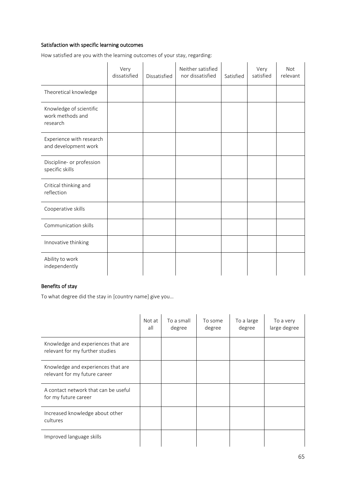### Satisfaction with specific learning outcomes

How satisfied are you with the learning outcomes of your stay, regarding:

|                                                         | Very<br>dissatisfied | Dissatisfied | Neither satisfied<br>nor dissatisfied | Satisfied | Very<br>satisfied | <b>Not</b><br>relevant |
|---------------------------------------------------------|----------------------|--------------|---------------------------------------|-----------|-------------------|------------------------|
| Theoretical knowledge                                   |                      |              |                                       |           |                   |                        |
| Knowledge of scientific<br>work methods and<br>research |                      |              |                                       |           |                   |                        |
| Experience with research<br>and development work        |                      |              |                                       |           |                   |                        |
| Discipline- or profession<br>specific skills            |                      |              |                                       |           |                   |                        |
| Critical thinking and<br>reflection                     |                      |              |                                       |           |                   |                        |
| Cooperative skills                                      |                      |              |                                       |           |                   |                        |
| Communication skills                                    |                      |              |                                       |           |                   |                        |
| Innovative thinking                                     |                      |              |                                       |           |                   |                        |
| Ability to work<br>independently                        |                      |              |                                       |           |                   |                        |

### Benefits of stay

To what degree did the stay in [country name] give you…

|                                                                       | Not at<br>all | To a small<br>degree | To some<br>degree | To a large<br>degree | To a very<br>large degree |
|-----------------------------------------------------------------------|---------------|----------------------|-------------------|----------------------|---------------------------|
| Knowledge and experiences that are<br>relevant for my further studies |               |                      |                   |                      |                           |
| Knowledge and experiences that are<br>relevant for my future career   |               |                      |                   |                      |                           |
| A contact network that can be useful<br>for my future career          |               |                      |                   |                      |                           |
| Increased knowledge about other<br>cultures                           |               |                      |                   |                      |                           |
| Improved language skills                                              |               |                      |                   |                      |                           |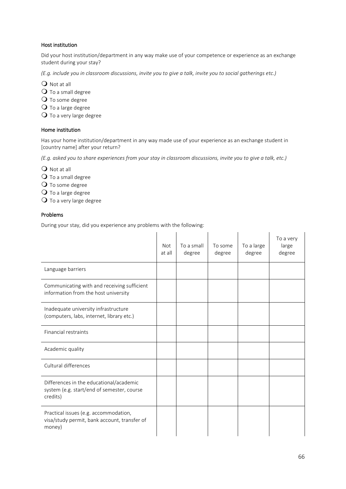### Host institution

Did your host institution/department in any way make use of your competence or experience as an exchange student during your stay?

*(E.g. include you in classroom discussions, invite you to give a talk, invite you to social gatherings etc.)*

Q Not at all

 $\mathbf O$  To a small degree

Q To some degree

 $\mathbf O$  To a large degree

 $\mathbf O$  To a very large degree

#### Home institution

Has your home institution/department in any way made use of your experience as an exchange student in [country name] after your return?

*(E.g. asked you to share experiences from your stay in classroom discussions, invite you to give a talk, etc.)*

 $Q$  Not at all

O To a small degree

Q To some degree

 $\mathbf O$  To a large degree

 $\bigcirc$  To a very large degree

### Problems

During your stay, did you experience any problems with the following:

|                                                                                                   | <b>Not</b><br>at all | To a small<br>degree | To some<br>degree | To a large<br>degree | To a very<br>large<br>degree |
|---------------------------------------------------------------------------------------------------|----------------------|----------------------|-------------------|----------------------|------------------------------|
| Language barriers                                                                                 |                      |                      |                   |                      |                              |
| Communicating with and receiving sufficient<br>information from the host university               |                      |                      |                   |                      |                              |
| Inadequate university infrastructure<br>(computers, labs, internet, library etc.)                 |                      |                      |                   |                      |                              |
| Financial restraints                                                                              |                      |                      |                   |                      |                              |
| Academic quality                                                                                  |                      |                      |                   |                      |                              |
| Cultural differences                                                                              |                      |                      |                   |                      |                              |
| Differences in the educational/academic<br>system (e.g. start/end of semester, course<br>credits) |                      |                      |                   |                      |                              |
| Practical issues (e.g. accommodation,<br>visa/study permit, bank account, transfer of<br>money)   |                      |                      |                   |                      |                              |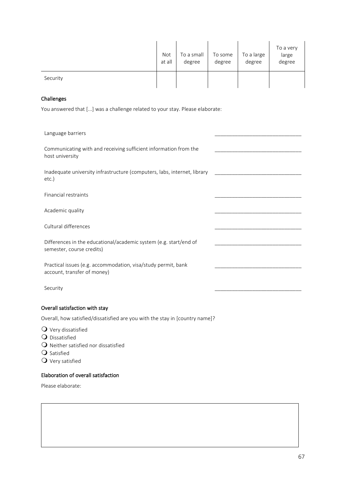|          | Not<br>at all | To a small<br>degree | To some<br>degree | To a large<br>degree | To a very<br>large<br>degree |
|----------|---------------|----------------------|-------------------|----------------------|------------------------------|
| Security |               |                      |                   |                      |                              |

### Challenges

You answered that [...] was a challenge related to your stay. Please elaborate:

| Language barriers                                                                              |
|------------------------------------------------------------------------------------------------|
| Communicating with and receiving sufficient information from the<br>host university            |
| Inadequate university infrastructure (computers, labs, internet, library<br>etc.)              |
| Financial restraints                                                                           |
| Academic quality                                                                               |
| Cultural differences                                                                           |
| Differences in the educational/academic system (e.g. start/end of<br>semester, course credits) |
| Practical issues (e.g. accommodation, visa/study permit, bank<br>account, transfer of money)   |
| Security                                                                                       |
| Overall satisfaction with stay                                                                 |

Overall, how satisfied/dissatisfied are you with the stay in [country name]?

- $\mathbf 0$  Very dissatisfied
- **Q** Dissatisfied
- $\bigcirc$  Neither satisfied nor dissatisfied
- $\mathbf{\Omega}$  Satisfied
- $\mathbf Q$  Very satisfied

### Elaboration of overall satisfaction

Please elaborate: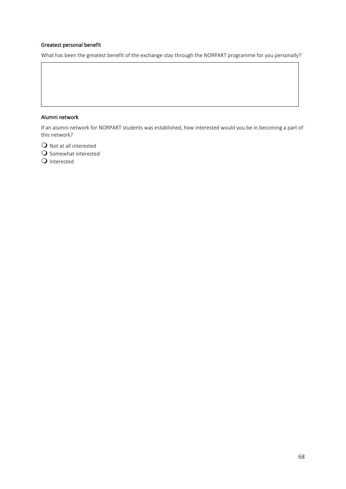### Greatest personal benefit

What has been the greatest benefit of the exchange stay through the NORPART programme for you personally?

#### Alumni network

If an alumni network for NORPART students was established, how interested would you be in becoming a part of this network?

 $\bigcirc$  Not at all interested

 $\mathbf O$  Somewhat interested

**Q** Interested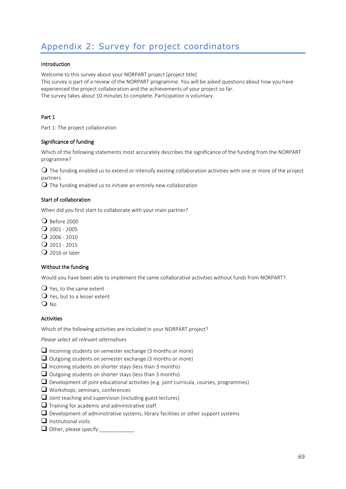# Appendix 2: Survey for project coordinators

#### Introduction

Welcome to this survey about your NORPART project [project title] This survey is part of a review of the NORPART programme. You will be asked questions about how you have experienced the project collaboration and the achievements of your project so far. The survey takes about 10 minutes to complete. Participation is voluntary.

#### Part 1

Part 1: The project collaboration

#### Significance of funding

Which of the following statements most accurately describes the significance of the funding from the NORPART programme?

 $\Omega$  The funding enabled us to extend or intensify existing collaboration activities with one or more of the project partners

 $\Omega$  The funding enabled us to initiate an entirely new collaboration

#### Start of collaboration

When did you first start to collaborate with your main partner?

Q Before 2000

 $Q$  2001 - 2005

 $Q$  2006 - 2010

 $Q$  2011 - 2015

 $Q$  2016 or later

#### Without the funding

Would you have been able to implement the same collaborative activities without funds from NORPART?

 $\mathbf Q$  Yes, to the same extent

Yes, but to a lesser extent

 $\Omega$ <sub>No</sub>

#### Activities

Which of the following activities are included in your NORPART project?

*Please select all relevant alternatives*

□ Incoming students on semester exchange (3 months or more)

- ❑ Outgoing students on semester exchange (3 months or more)
- $\Box$  Incoming students on shorter stays (less than 3 months)
- ❑ Outgoing students on shorter stays (less than 3 months)
- $\Box$  Development of joint educational activities (e.g. joint curricula, courses, programmes)
- ❑ Workshops, seminars, conferences
- $\Box$  Joint teaching and supervision (including guest lectures)
- $\Box$  Training for academic and administrative staff
- ❑ Development of administrative systems, library facilities or other support systems
- ❑ Institutional visits
- $\Box$  Other, please specify: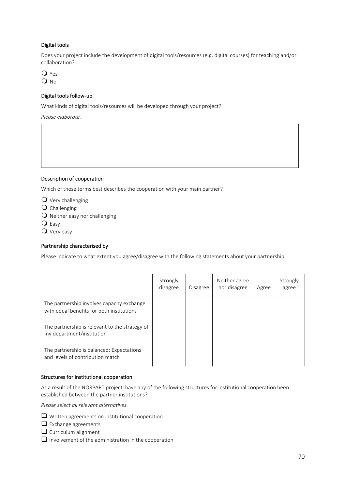### Digital tools

Does your project include the development of digital tools/resources (e.g. digital courses) for teaching and/or collaboration?

**O** Yes O No

### Digital tools follow-up

What kinds of digital tools/resources will be developed through your project?

*Please elaborate.*

#### Description of cooperation

Which of these terms best describes the cooperation with your main partner?

- $\mathbf Q$  Very challenging
- $\bigcirc$  Challenging
- $\Omega$  Neither easy nor challenging
- Q Easy
- Very easy

#### Partnership characterised by

Please indicate to what extent you agree/disagree with the following statements about your partnership:

|                                                                                         | Strongly<br>disagree | <b>Disagree</b> | Neither agree<br>nor disagree | Agree | Strongly<br>agree |
|-----------------------------------------------------------------------------------------|----------------------|-----------------|-------------------------------|-------|-------------------|
| The partnership involves capacity exchange<br>with equal benefits for both institutions |                      |                 |                               |       |                   |
| The partnership is relevant to the strategy of<br>my department/institution             |                      |                 |                               |       |                   |
| The partnership is balanced: Expectations<br>and levels of contribution match           |                      |                 |                               |       |                   |

#### Structures for institutional cooperation

As a result of the NORPART project, have any of the following structures for institutional cooperation been established between the partner institutions?

*Please select all relevant alternatives.*

- ❑ Written agreements on institutional cooperation
- ❑ Exchange agreements
- ❑ Curriculum alignment
- ❑ Involvement of the administration in the cooperation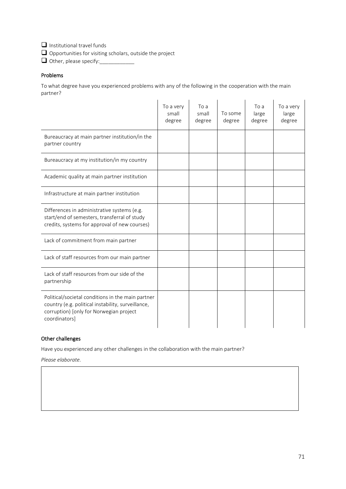❑ Institutional travel funds

❑ Opportunities for visiting scholars, outside the project

 $\Box$  Other, please specify:

### Problems

To what degree have you experienced problems with any of the following in the cooperation with the main partner?

|                                                                                                                                                                     | To a very<br>small<br>degree | To a<br>small<br>degree | To some<br>degree | To a<br>large<br>degree | To a very<br>large<br>degree |
|---------------------------------------------------------------------------------------------------------------------------------------------------------------------|------------------------------|-------------------------|-------------------|-------------------------|------------------------------|
| Bureaucracy at main partner institution/in the<br>partner country                                                                                                   |                              |                         |                   |                         |                              |
| Bureaucracy at my institution/in my country                                                                                                                         |                              |                         |                   |                         |                              |
| Academic quality at main partner institution                                                                                                                        |                              |                         |                   |                         |                              |
| Infrastructure at main partner institution                                                                                                                          |                              |                         |                   |                         |                              |
| Differences in administrative systems (e.g.<br>start/end of semesters, transferral of study<br>credits, systems for approval of new courses)                        |                              |                         |                   |                         |                              |
| Lack of commitment from main partner                                                                                                                                |                              |                         |                   |                         |                              |
| Lack of staff resources from our main partner                                                                                                                       |                              |                         |                   |                         |                              |
| Lack of staff resources from our side of the<br>partnership                                                                                                         |                              |                         |                   |                         |                              |
| Political/societal conditions in the main partner<br>country (e.g. political instability, surveillance,<br>corruption) [only for Norwegian project<br>coordinators] |                              |                         |                   |                         |                              |

#### Other challenges

Have you experienced any other challenges in the collaboration with the main partner?

*Please elaborate.*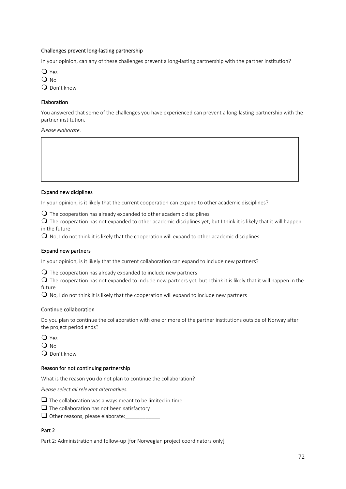## Challenges prevent long-lasting partnership

In your opinion, can any of these challenges prevent a long-lasting partnership with the partner institution?

O Yes O No

Q Don't know

## Elaboration

You answered that some of the challenges you have experienced can prevent a long-lasting partnership with the partner institution.

*Please elaborate.*

### Expand new diciplines

In your opinion, is it likely that the current cooperation can expand to other academic disciplines?

 $\Omega$  The cooperation has already expanded to other academic disciplines

 $\Omega$  The cooperation has not expanded to other academic disciplines yet, but I think it is likely that it will happen in the future

 $\Omega$  No, I do not think it is likely that the cooperation will expand to other academic disciplines

### Expand new partners

In your opinion, is it likely that the current collaboration can expand to include new partners?

 $\Omega$  The cooperation has already expanded to include new partners

 $\Omega$  The cooperation has not expanded to include new partners yet, but I think it is likely that it will happen in the future

 $\Omega$  No, I do not think it is likely that the cooperation will expand to include new partners

### Continue collaboration

Do you plan to continue the collaboration with one or more of the partner institutions outside of Norway after the project period ends?

 $Q$  Yes  $Q$  No Don't know

### Reason for not continuing partnership

What is the reason you do not plan to continue the collaboration?

*Please select all relevant alternatives.*

 $\Box$  The collaboration was always meant to be limited in time

- $\Box$  The collaboration has not been satisfactory
- □ Other reasons, please elaborate:

## Part 2

Part 2: Administration and follow-up [for Norwegian project coordinators only]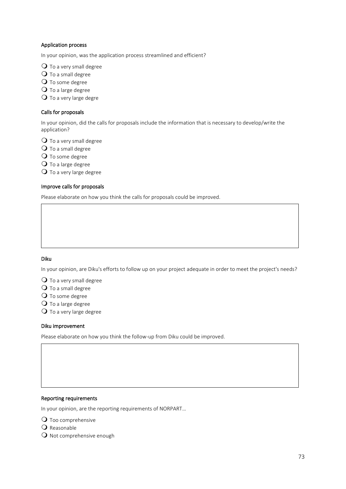## Application process

In your opinion, was the application process streamlined and efficient?

 $\Omega$  To a very small degree

- Q To a small degree
- Q To some degree
- O To a large degree

 $\bigcirc$  To a very large degre

## Calls for proposals

In your opinion, did the calls for proposals include the information that is necessary to develop/write the application?

 $\mathbf O$  To a very small degree

- $\mathbf O$  To a small degree
- Q To some degree
- $\mathbf O$  To a large degree

 $\mathbf O$  To a very large degree

### Improve calls for proposals

Please elaborate on how you think the calls for proposals could be improved.

## Diku

In your opinion, are Diku's efforts to follow up on your project adequate in order to meet the project's needs?

 $\bigcirc$  To a very small degree

- $\mathbf O$  To a small degree
- Q To some degree
- $\mathbf O$  To a large degree
- $\bigcirc$  To a very large degree

### Diku improvement

Please elaborate on how you think the follow-up from Diku could be improved.

### Reporting requirements

In your opinion, are the reporting requirements of NORPART…

**O** Too comprehensive

Q Reasonable

 $\Omega$  Not comprehensive enough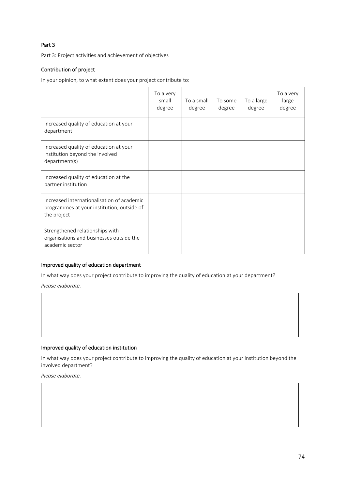# Part 3

Part 3: Project activities and achievement of objectives

# Contribution of project

In your opinion, to what extent does your project contribute to:

|                                                                                                         | To a very<br>small<br>degree | To a small<br>degree | To some<br>degree | To a large<br>degree | To a very<br>large<br>degree |
|---------------------------------------------------------------------------------------------------------|------------------------------|----------------------|-------------------|----------------------|------------------------------|
| Increased quality of education at your<br>department                                                    |                              |                      |                   |                      |                              |
| Increased quality of education at your<br>institution beyond the involved<br>department(s)              |                              |                      |                   |                      |                              |
| Increased quality of education at the<br>partner institution                                            |                              |                      |                   |                      |                              |
| Increased internationalisation of academic<br>programmes at your institution, outside of<br>the project |                              |                      |                   |                      |                              |
| Strengthened relationships with<br>organisations and businesses outside the<br>academic sector          |                              |                      |                   |                      |                              |

# Improved quality of education department

In what way does your project contribute to improving the quality of education at your department?

*Please elaborate.*

### Improved quality of education institution

In what way does your project contribute to improving the quality of education at your institution beyond the involved department?

*Please elaborate.*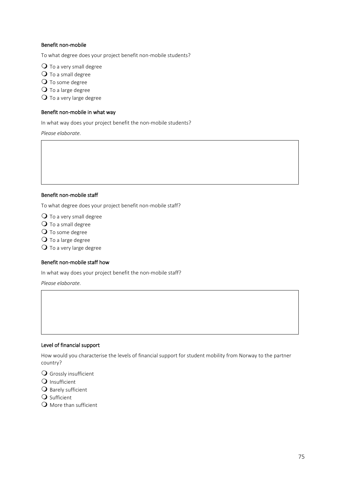## Benefit non-mobile

To what degree does your project benefit non-mobile students?

 $\Omega$  To a very small degree

- $\mathbf O$  To a small degree
- O To some degree
- $\mathbf O$  To a large degree

 $\overline{O}$  To a very large degree

### Benefit non-mobile in what way

In what way does your project benefit the non-mobile students?

*Please elaborate.*

## Benefit non-mobile staff

To what degree does your project benefit non-mobile staff?

 $\mathbf O$  To a very small degree

- $\mathbf O$  To a small degree
- O To some degree
- $\mathbf O$  To a large degree

 $\bigcirc$  To a very large degree

### Benefit non-mobile staff how

In what way does your project benefit the non-mobile staff?

*Please elaborate.*

### Level of financial support

How would you characterise the levels of financial support for student mobility from Norway to the partner country?

Grossly insufficient

- Q Insufficient
- $\mathsf O$  Barely sufficient
- Q Sufficient

 $\Omega$  More than sufficient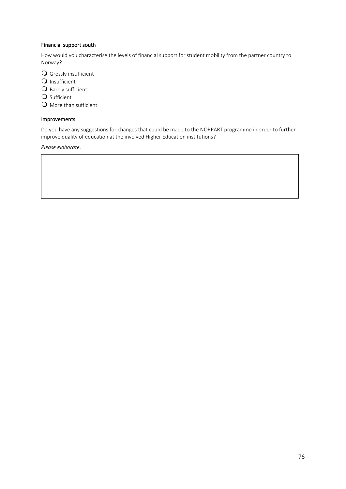# Financial support south

How would you characterise the levels of financial support for student mobility from the partner country to Norway?

Grossly insufficient

- Q Insufficient
- $\Theta$  Barely sufficient
- **O** Sufficient

Q More than sufficient

## Improvements

Do you have any suggestions for changes that could be made to the NORPART programme in order to further improve quality of education at the involved Higher Education institutions?

*Please elaborate.*